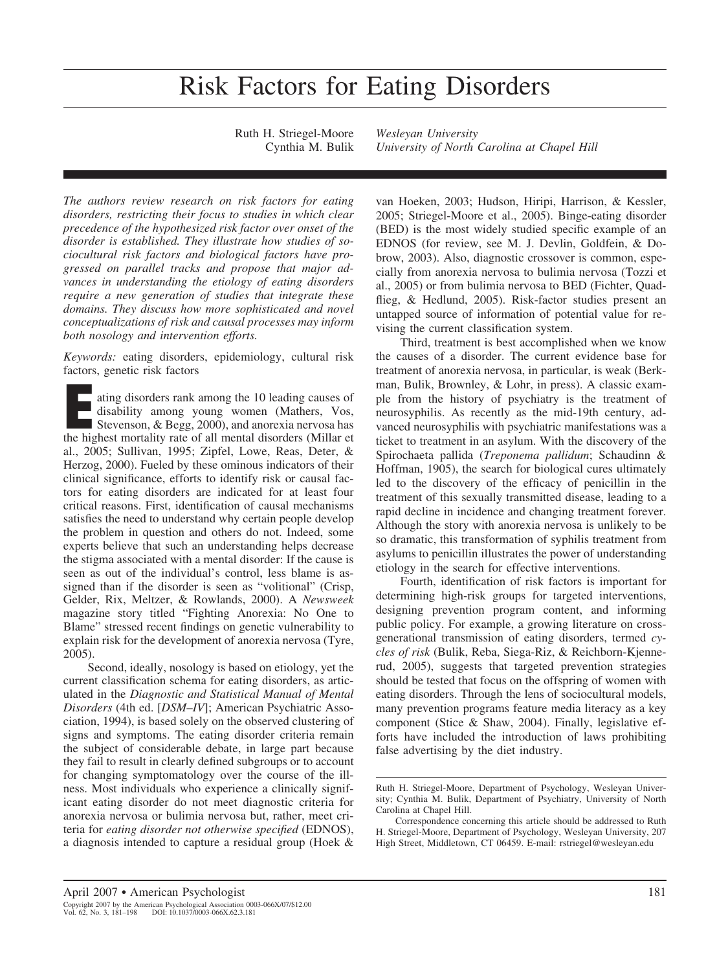# Risk Factors for Eating Disorders

Ruth H. Striegel-Moore *Wesleyan University*

Cynthia M. Bulik *University of North Carolina at Chapel Hill*

*The authors review research on risk factors for eating disorders, restricting their focus to studies in which clear precedence of the hypothesized risk factor over onset of the disorder is established. They illustrate how studies of sociocultural risk factors and biological factors have progressed on parallel tracks and propose that major advances in understanding the etiology of eating disorders require a new generation of studies that integrate these domains. They discuss how more sophisticated and novel conceptualizations of risk and causal processes may inform both nosology and intervention efforts.*

*Keywords:* eating disorders, epidemiology, cultural risk factors, genetic risk factors

ating disorders rank among the 10 leading causes of disability among young women (Mathers, Vos, Stevenson, & Begg, 2000), and anorexia nervosa has the highest mortality rate of all mental disorders (Millar et disability among young women (Mathers, Vos, Stevenson, & Begg, 2000), and anorexia nervosa has the highest mortality rate of all mental disorders (Millar et al., 2005; Sullivan, 1995; Zipfel, Lowe, Reas, Deter, & Herzog, 2000). Fueled by these ominous indicators of their clinical significance, efforts to identify risk or causal factors for eating disorders are indicated for at least four critical reasons. First, identification of causal mechanisms satisfies the need to understand why certain people develop the problem in question and others do not. Indeed, some experts believe that such an understanding helps decrease the stigma associated with a mental disorder: If the cause is seen as out of the individual's control, less blame is assigned than if the disorder is seen as "volitional" (Crisp, Gelder, Rix, Meltzer, & Rowlands, 2000). A *Newsweek* magazine story titled "Fighting Anorexia: No One to Blame" stressed recent findings on genetic vulnerability to explain risk for the development of anorexia nervosa (Tyre, 2005).

Second, ideally, nosology is based on etiology, yet the current classification schema for eating disorders, as articulated in the *Diagnostic and Statistical Manual of Mental Disorders* (4th ed. [*DSM–IV*]; American Psychiatric Association, 1994), is based solely on the observed clustering of signs and symptoms. The eating disorder criteria remain the subject of considerable debate, in large part because they fail to result in clearly defined subgroups or to account for changing symptomatology over the course of the illness. Most individuals who experience a clinically significant eating disorder do not meet diagnostic criteria for anorexia nervosa or bulimia nervosa but, rather, meet criteria for *eating disorder not otherwise specified* (EDNOS), a diagnosis intended to capture a residual group (Hoek &

van Hoeken, 2003; Hudson, Hiripi, Harrison, & Kessler, 2005; Striegel-Moore et al., 2005). Binge-eating disorder (BED) is the most widely studied specific example of an EDNOS (for review, see M. J. Devlin, Goldfein, & Dobrow, 2003). Also, diagnostic crossover is common, especially from anorexia nervosa to bulimia nervosa (Tozzi et al., 2005) or from bulimia nervosa to BED (Fichter, Quadflieg, & Hedlund, 2005). Risk-factor studies present an untapped source of information of potential value for revising the current classification system.

Third, treatment is best accomplished when we know the causes of a disorder. The current evidence base for treatment of anorexia nervosa, in particular, is weak (Berkman, Bulik, Brownley, & Lohr, in press). A classic example from the history of psychiatry is the treatment of neurosyphilis. As recently as the mid-19th century, advanced neurosyphilis with psychiatric manifestations was a ticket to treatment in an asylum. With the discovery of the Spirochaeta pallida (*Treponema pallidum*; Schaudinn & Hoffman, 1905), the search for biological cures ultimately led to the discovery of the efficacy of penicillin in the treatment of this sexually transmitted disease, leading to a rapid decline in incidence and changing treatment forever. Although the story with anorexia nervosa is unlikely to be so dramatic, this transformation of syphilis treatment from asylums to penicillin illustrates the power of understanding etiology in the search for effective interventions.

Fourth, identification of risk factors is important for determining high-risk groups for targeted interventions, designing prevention program content, and informing public policy. For example, a growing literature on crossgenerational transmission of eating disorders, termed *cycles of risk* (Bulik, Reba, Siega-Riz, & Reichborn-Kjennerud, 2005), suggests that targeted prevention strategies should be tested that focus on the offspring of women with eating disorders. Through the lens of sociocultural models, many prevention programs feature media literacy as a key component (Stice & Shaw, 2004). Finally, legislative efforts have included the introduction of laws prohibiting false advertising by the diet industry.

Ruth H. Striegel-Moore, Department of Psychology, Wesleyan University; Cynthia M. Bulik, Department of Psychiatry, University of North Carolina at Chapel Hill.

Correspondence concerning this article should be addressed to Ruth H. Striegel-Moore, Department of Psychology, Wesleyan University, 207 High Street, Middletown, CT 06459. E-mail: rstriegel@wesleyan.edu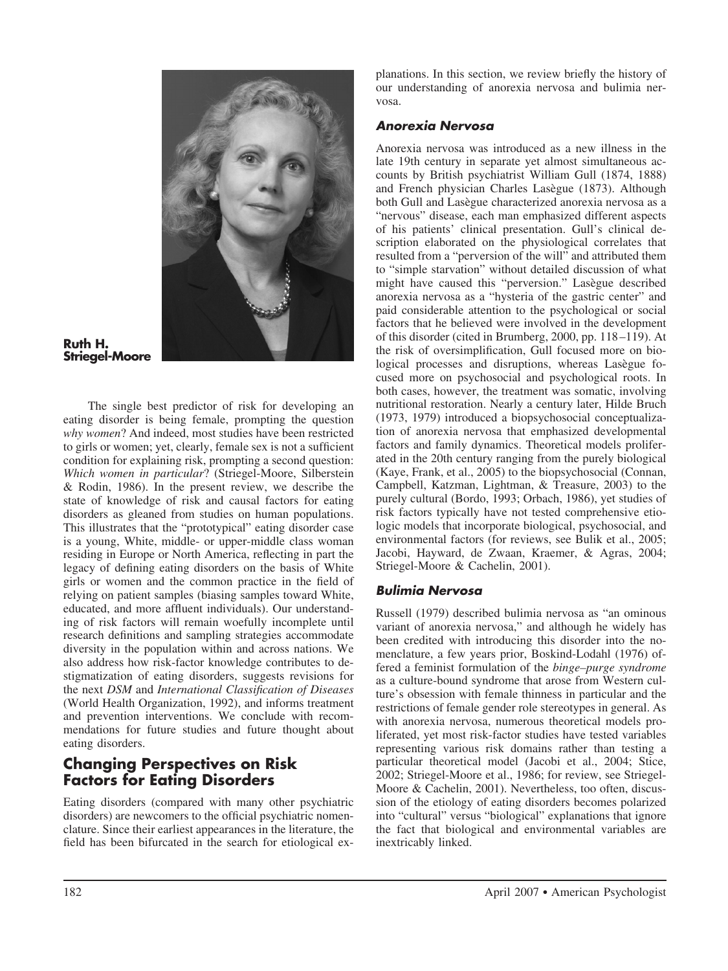

**Ruth H. Striegel-Moore**

The single best predictor of risk for developing an eating disorder is being female, prompting the question *why women*? And indeed, most studies have been restricted to girls or women; yet, clearly, female sex is not a sufficient condition for explaining risk, prompting a second question: *Which women in particular*? (Striegel-Moore, Silberstein & Rodin, 1986). In the present review, we describe the state of knowledge of risk and causal factors for eating disorders as gleaned from studies on human populations. This illustrates that the "prototypical" eating disorder case is a young, White, middle- or upper-middle class woman residing in Europe or North America, reflecting in part the legacy of defining eating disorders on the basis of White girls or women and the common practice in the field of relying on patient samples (biasing samples toward White, educated, and more affluent individuals). Our understanding of risk factors will remain woefully incomplete until research definitions and sampling strategies accommodate diversity in the population within and across nations. We also address how risk-factor knowledge contributes to destigmatization of eating disorders, suggests revisions for the next *DSM* and *International Classification of Diseases* (World Health Organization, 1992), and informs treatment and prevention interventions. We conclude with recommendations for future studies and future thought about eating disorders.

### **Changing Perspectives on Risk Factors for Eating Disorders**

Eating disorders (compared with many other psychiatric disorders) are newcomers to the official psychiatric nomenclature. Since their earliest appearances in the literature, the field has been bifurcated in the search for etiological explanations. In this section, we review briefly the history of our understanding of anorexia nervosa and bulimia nervosa.

#### *Anorexia Nervosa*

Anorexia nervosa was introduced as a new illness in the late 19th century in separate yet almost simultaneous accounts by British psychiatrist William Gull (1874, 1888) and French physician Charles Lasègue (1873). Although both Gull and Lasègue characterized anorexia nervosa as a "nervous" disease, each man emphasized different aspects of his patients' clinical presentation. Gull's clinical description elaborated on the physiological correlates that resulted from a "perversion of the will" and attributed them to "simple starvation" without detailed discussion of what might have caused this "perversion." Lasègue described anorexia nervosa as a "hysteria of the gastric center" and paid considerable attention to the psychological or social factors that he believed were involved in the development of this disorder (cited in Brumberg, 2000, pp. 118 –119). At the risk of oversimplification, Gull focused more on biological processes and disruptions, whereas Lasègue focused more on psychosocial and psychological roots. In both cases, however, the treatment was somatic, involving nutritional restoration. Nearly a century later, Hilde Bruch (1973, 1979) introduced a biopsychosocial conceptualization of anorexia nervosa that emphasized developmental factors and family dynamics. Theoretical models proliferated in the 20th century ranging from the purely biological (Kaye, Frank, et al., 2005) to the biopsychosocial (Connan, Campbell, Katzman, Lightman, & Treasure, 2003) to the purely cultural (Bordo, 1993; Orbach, 1986), yet studies of risk factors typically have not tested comprehensive etiologic models that incorporate biological, psychosocial, and environmental factors (for reviews, see Bulik et al., 2005; Jacobi, Hayward, de Zwaan, Kraemer, & Agras, 2004; Striegel-Moore & Cachelin, 2001).

#### *Bulimia Nervosa*

Russell (1979) described bulimia nervosa as "an ominous variant of anorexia nervosa," and although he widely has been credited with introducing this disorder into the nomenclature, a few years prior, Boskind-Lodahl (1976) offered a feminist formulation of the *binge–purge syndrome* as a culture-bound syndrome that arose from Western culture's obsession with female thinness in particular and the restrictions of female gender role stereotypes in general. As with anorexia nervosa, numerous theoretical models proliferated, yet most risk-factor studies have tested variables representing various risk domains rather than testing a particular theoretical model (Jacobi et al., 2004; Stice, 2002; Striegel-Moore et al., 1986; for review, see Striegel-Moore & Cachelin, 2001). Nevertheless, too often, discussion of the etiology of eating disorders becomes polarized into "cultural" versus "biological" explanations that ignore the fact that biological and environmental variables are inextricably linked.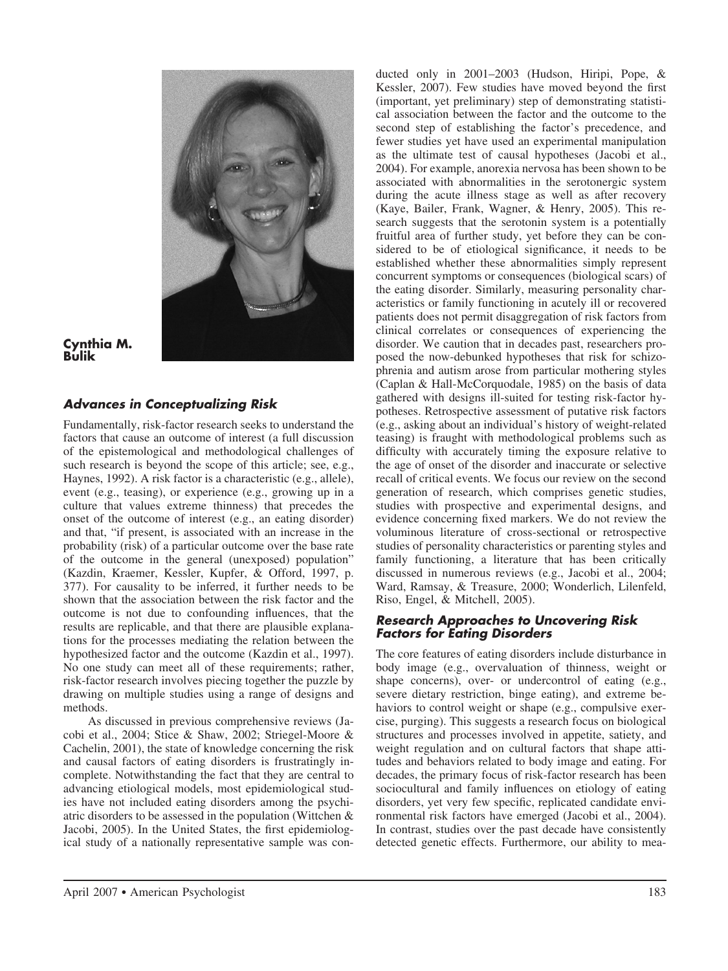

#### **Cynthia M. Bulik**

### *Advances in Conceptualizing Risk*

Fundamentally, risk-factor research seeks to understand the factors that cause an outcome of interest (a full discussion of the epistemological and methodological challenges of such research is beyond the scope of this article; see, e.g., Haynes, 1992). A risk factor is a characteristic (e.g., allele), event (e.g., teasing), or experience (e.g., growing up in a culture that values extreme thinness) that precedes the onset of the outcome of interest (e.g., an eating disorder) and that, "if present, is associated with an increase in the probability (risk) of a particular outcome over the base rate of the outcome in the general (unexposed) population" (Kazdin, Kraemer, Kessler, Kupfer, & Offord, 1997, p. 377). For causality to be inferred, it further needs to be shown that the association between the risk factor and the outcome is not due to confounding influences, that the results are replicable, and that there are plausible explanations for the processes mediating the relation between the hypothesized factor and the outcome (Kazdin et al., 1997). No one study can meet all of these requirements; rather, risk-factor research involves piecing together the puzzle by drawing on multiple studies using a range of designs and methods.

As discussed in previous comprehensive reviews (Jacobi et al., 2004; Stice & Shaw, 2002; Striegel-Moore & Cachelin, 2001), the state of knowledge concerning the risk and causal factors of eating disorders is frustratingly incomplete. Notwithstanding the fact that they are central to advancing etiological models, most epidemiological studies have not included eating disorders among the psychiatric disorders to be assessed in the population (Wittchen & Jacobi, 2005). In the United States, the first epidemiological study of a nationally representative sample was conducted only in 2001–2003 (Hudson, Hiripi, Pope, & Kessler, 2007). Few studies have moved beyond the first (important, yet preliminary) step of demonstrating statistical association between the factor and the outcome to the second step of establishing the factor's precedence, and fewer studies yet have used an experimental manipulation as the ultimate test of causal hypotheses (Jacobi et al., 2004). For example, anorexia nervosa has been shown to be associated with abnormalities in the serotonergic system during the acute illness stage as well as after recovery (Kaye, Bailer, Frank, Wagner, & Henry, 2005). This research suggests that the serotonin system is a potentially fruitful area of further study, yet before they can be considered to be of etiological significance, it needs to be established whether these abnormalities simply represent concurrent symptoms or consequences (biological scars) of the eating disorder. Similarly, measuring personality characteristics or family functioning in acutely ill or recovered patients does not permit disaggregation of risk factors from clinical correlates or consequences of experiencing the disorder. We caution that in decades past, researchers proposed the now-debunked hypotheses that risk for schizophrenia and autism arose from particular mothering styles (Caplan & Hall-McCorquodale, 1985) on the basis of data gathered with designs ill-suited for testing risk-factor hypotheses. Retrospective assessment of putative risk factors (e.g., asking about an individual's history of weight-related teasing) is fraught with methodological problems such as difficulty with accurately timing the exposure relative to the age of onset of the disorder and inaccurate or selective recall of critical events. We focus our review on the second generation of research, which comprises genetic studies, studies with prospective and experimental designs, and evidence concerning fixed markers. We do not review the voluminous literature of cross-sectional or retrospective studies of personality characteristics or parenting styles and family functioning, a literature that has been critically discussed in numerous reviews (e.g., Jacobi et al., 2004; Ward, Ramsay, & Treasure, 2000; Wonderlich, Lilenfeld, Riso, Engel, & Mitchell, 2005).

#### *Research Approaches to Uncovering Risk Factors for Eating Disorders*

The core features of eating disorders include disturbance in body image (e.g., overvaluation of thinness, weight or shape concerns), over- or undercontrol of eating (e.g., severe dietary restriction, binge eating), and extreme behaviors to control weight or shape (e.g., compulsive exercise, purging). This suggests a research focus on biological structures and processes involved in appetite, satiety, and weight regulation and on cultural factors that shape attitudes and behaviors related to body image and eating. For decades, the primary focus of risk-factor research has been sociocultural and family influences on etiology of eating disorders, yet very few specific, replicated candidate environmental risk factors have emerged (Jacobi et al., 2004). In contrast, studies over the past decade have consistently detected genetic effects. Furthermore, our ability to mea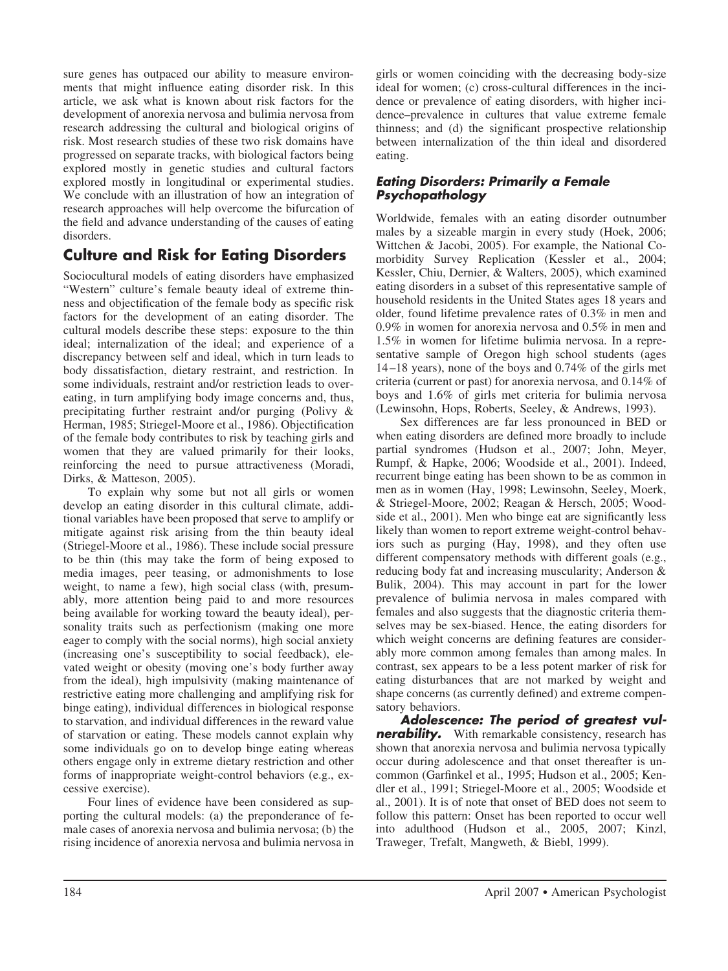sure genes has outpaced our ability to measure environments that might influence eating disorder risk. In this article, we ask what is known about risk factors for the development of anorexia nervosa and bulimia nervosa from research addressing the cultural and biological origins of risk. Most research studies of these two risk domains have progressed on separate tracks, with biological factors being explored mostly in genetic studies and cultural factors explored mostly in longitudinal or experimental studies. We conclude with an illustration of how an integration of research approaches will help overcome the bifurcation of the field and advance understanding of the causes of eating disorders.

## **Culture and Risk for Eating Disorders**

Sociocultural models of eating disorders have emphasized "Western" culture's female beauty ideal of extreme thinness and objectification of the female body as specific risk factors for the development of an eating disorder. The cultural models describe these steps: exposure to the thin ideal; internalization of the ideal; and experience of a discrepancy between self and ideal, which in turn leads to body dissatisfaction, dietary restraint, and restriction. In some individuals, restraint and/or restriction leads to overeating, in turn amplifying body image concerns and, thus, precipitating further restraint and/or purging (Polivy & Herman, 1985; Striegel-Moore et al., 1986). Objectification of the female body contributes to risk by teaching girls and women that they are valued primarily for their looks, reinforcing the need to pursue attractiveness (Moradi, Dirks, & Matteson, 2005).

To explain why some but not all girls or women develop an eating disorder in this cultural climate, additional variables have been proposed that serve to amplify or mitigate against risk arising from the thin beauty ideal (Striegel-Moore et al., 1986). These include social pressure to be thin (this may take the form of being exposed to media images, peer teasing, or admonishments to lose weight, to name a few), high social class (with, presumably, more attention being paid to and more resources being available for working toward the beauty ideal), personality traits such as perfectionism (making one more eager to comply with the social norms), high social anxiety (increasing one's susceptibility to social feedback), elevated weight or obesity (moving one's body further away from the ideal), high impulsivity (making maintenance of restrictive eating more challenging and amplifying risk for binge eating), individual differences in biological response to starvation, and individual differences in the reward value of starvation or eating. These models cannot explain why some individuals go on to develop binge eating whereas others engage only in extreme dietary restriction and other forms of inappropriate weight-control behaviors (e.g., excessive exercise).

Four lines of evidence have been considered as supporting the cultural models: (a) the preponderance of female cases of anorexia nervosa and bulimia nervosa; (b) the rising incidence of anorexia nervosa and bulimia nervosa in girls or women coinciding with the decreasing body-size ideal for women; (c) cross-cultural differences in the incidence or prevalence of eating disorders, with higher incidence–prevalence in cultures that value extreme female thinness; and (d) the significant prospective relationship between internalization of the thin ideal and disordered eating.

#### *Eating Disorders: Primarily a Female Psychopathology*

Worldwide, females with an eating disorder outnumber males by a sizeable margin in every study (Hoek, 2006; Wittchen & Jacobi, 2005). For example, the National Comorbidity Survey Replication (Kessler et al., 2004; Kessler, Chiu, Dernier, & Walters, 2005), which examined eating disorders in a subset of this representative sample of household residents in the United States ages 18 years and older, found lifetime prevalence rates of 0.3% in men and 0.9% in women for anorexia nervosa and 0.5% in men and 1.5% in women for lifetime bulimia nervosa. In a representative sample of Oregon high school students (ages 14 –18 years), none of the boys and 0.74% of the girls met criteria (current or past) for anorexia nervosa, and 0.14% of boys and 1.6% of girls met criteria for bulimia nervosa (Lewinsohn, Hops, Roberts, Seeley, & Andrews, 1993).

Sex differences are far less pronounced in BED or when eating disorders are defined more broadly to include partial syndromes (Hudson et al., 2007; John, Meyer, Rumpf, & Hapke, 2006; Woodside et al., 2001). Indeed, recurrent binge eating has been shown to be as common in men as in women (Hay, 1998; Lewinsohn, Seeley, Moerk, & Striegel-Moore, 2002; Reagan & Hersch, 2005; Woodside et al., 2001). Men who binge eat are significantly less likely than women to report extreme weight-control behaviors such as purging (Hay, 1998), and they often use different compensatory methods with different goals (e.g., reducing body fat and increasing muscularity; Anderson & Bulik, 2004). This may account in part for the lower prevalence of bulimia nervosa in males compared with females and also suggests that the diagnostic criteria themselves may be sex-biased. Hence, the eating disorders for which weight concerns are defining features are considerably more common among females than among males. In contrast, sex appears to be a less potent marker of risk for eating disturbances that are not marked by weight and shape concerns (as currently defined) and extreme compensatory behaviors.

*Adolescence: The period of greatest vul***nerability.** With remarkable consistency, research has shown that anorexia nervosa and bulimia nervosa typically occur during adolescence and that onset thereafter is uncommon (Garfinkel et al., 1995; Hudson et al., 2005; Kendler et al., 1991; Striegel-Moore et al., 2005; Woodside et al., 2001). It is of note that onset of BED does not seem to follow this pattern: Onset has been reported to occur well into adulthood (Hudson et al., 2005, 2007; Kinzl, Traweger, Trefalt, Mangweth, & Biebl, 1999).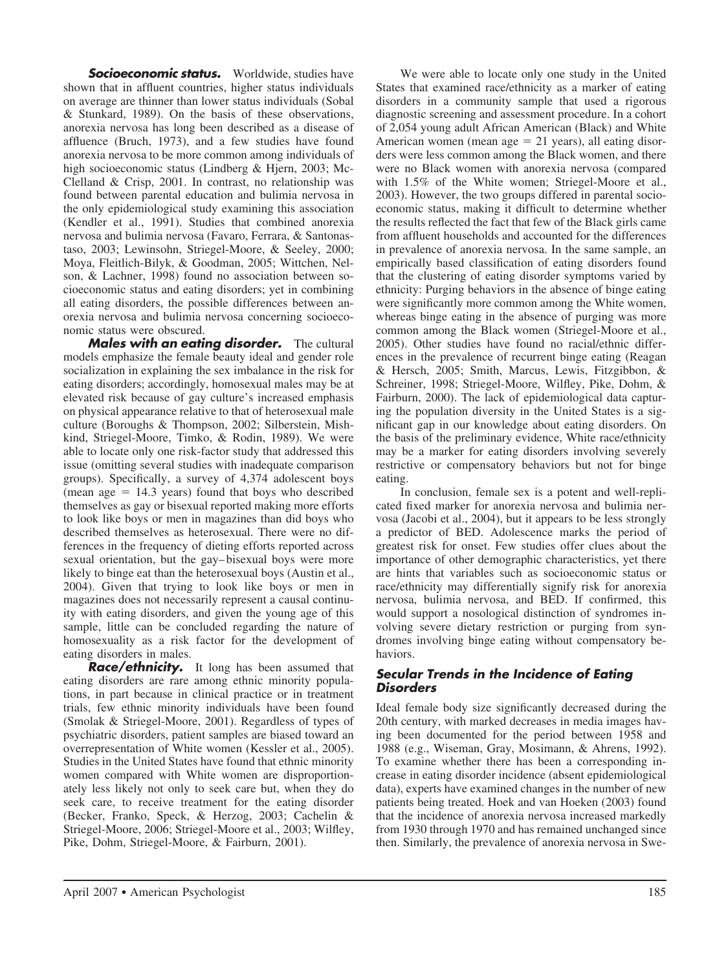**Socioeconomic status.** Worldwide, studies have shown that in affluent countries, higher status individuals on average are thinner than lower status individuals (Sobal & Stunkard, 1989). On the basis of these observations, anorexia nervosa has long been described as a disease of affluence (Bruch, 1973), and a few studies have found anorexia nervosa to be more common among individuals of high socioeconomic status (Lindberg & Hjern, 2003; Mc-Clelland & Crisp, 2001. In contrast, no relationship was found between parental education and bulimia nervosa in the only epidemiological study examining this association (Kendler et al., 1991). Studies that combined anorexia nervosa and bulimia nervosa (Favaro, Ferrara, & Santonastaso, 2003; Lewinsohn, Striegel-Moore, & Seeley, 2000; Moya, Fleitlich-Bilyk, & Goodman, 2005; Wittchen, Nelson, & Lachner, 1998) found no association between socioeconomic status and eating disorders; yet in combining all eating disorders, the possible differences between anorexia nervosa and bulimia nervosa concerning socioeconomic status were obscured.

*Males with an eating disorder.* The cultural models emphasize the female beauty ideal and gender role socialization in explaining the sex imbalance in the risk for eating disorders; accordingly, homosexual males may be at elevated risk because of gay culture's increased emphasis on physical appearance relative to that of heterosexual male culture (Boroughs & Thompson, 2002; Silberstein, Mishkind, Striegel-Moore, Timko, & Rodin, 1989). We were able to locate only one risk-factor study that addressed this issue (omitting several studies with inadequate comparison groups). Specifically, a survey of 4,374 adolescent boys (mean age  $= 14.3$  years) found that boys who described themselves as gay or bisexual reported making more efforts to look like boys or men in magazines than did boys who described themselves as heterosexual. There were no differences in the frequency of dieting efforts reported across sexual orientation, but the gay– bisexual boys were more likely to binge eat than the heterosexual boys (Austin et al., 2004). Given that trying to look like boys or men in magazines does not necessarily represent a causal continuity with eating disorders, and given the young age of this sample, little can be concluded regarding the nature of homosexuality as a risk factor for the development of eating disorders in males.

*Race/ethnicity.* It long has been assumed that eating disorders are rare among ethnic minority populations, in part because in clinical practice or in treatment trials, few ethnic minority individuals have been found (Smolak & Striegel-Moore, 2001). Regardless of types of psychiatric disorders, patient samples are biased toward an overrepresentation of White women (Kessler et al., 2005). Studies in the United States have found that ethnic minority women compared with White women are disproportionately less likely not only to seek care but, when they do seek care, to receive treatment for the eating disorder (Becker, Franko, Speck, & Herzog, 2003; Cachelin & Striegel-Moore, 2006; Striegel-Moore et al., 2003; Wilfley, Pike, Dohm, Striegel-Moore, & Fairburn, 2001).

We were able to locate only one study in the United States that examined race/ethnicity as a marker of eating disorders in a community sample that used a rigorous diagnostic screening and assessment procedure. In a cohort of 2,054 young adult African American (Black) and White American women (mean age  $= 21$  years), all eating disorders were less common among the Black women, and there were no Black women with anorexia nervosa (compared with 1.5% of the White women; Striegel-Moore et al., 2003). However, the two groups differed in parental socioeconomic status, making it difficult to determine whether the results reflected the fact that few of the Black girls came from affluent households and accounted for the differences in prevalence of anorexia nervosa. In the same sample, an empirically based classification of eating disorders found that the clustering of eating disorder symptoms varied by ethnicity: Purging behaviors in the absence of binge eating were significantly more common among the White women, whereas binge eating in the absence of purging was more common among the Black women (Striegel-Moore et al., 2005). Other studies have found no racial/ethnic differences in the prevalence of recurrent binge eating (Reagan & Hersch, 2005; Smith, Marcus, Lewis, Fitzgibbon, & Schreiner, 1998; Striegel-Moore, Wilfley, Pike, Dohm, & Fairburn, 2000). The lack of epidemiological data capturing the population diversity in the United States is a significant gap in our knowledge about eating disorders. On the basis of the preliminary evidence, White race/ethnicity may be a marker for eating disorders involving severely restrictive or compensatory behaviors but not for binge eating.

In conclusion, female sex is a potent and well-replicated fixed marker for anorexia nervosa and bulimia nervosa (Jacobi et al., 2004), but it appears to be less strongly a predictor of BED. Adolescence marks the period of greatest risk for onset. Few studies offer clues about the importance of other demographic characteristics, yet there are hints that variables such as socioeconomic status or race/ethnicity may differentially signify risk for anorexia nervosa, bulimia nervosa, and BED. If confirmed, this would support a nosological distinction of syndromes involving severe dietary restriction or purging from syndromes involving binge eating without compensatory behaviors.

#### *Secular Trends in the Incidence of Eating Disorders*

Ideal female body size significantly decreased during the 20th century, with marked decreases in media images having been documented for the period between 1958 and 1988 (e.g., Wiseman, Gray, Mosimann, & Ahrens, 1992). To examine whether there has been a corresponding increase in eating disorder incidence (absent epidemiological data), experts have examined changes in the number of new patients being treated. Hoek and van Hoeken (2003) found that the incidence of anorexia nervosa increased markedly from 1930 through 1970 and has remained unchanged since then. Similarly, the prevalence of anorexia nervosa in Swe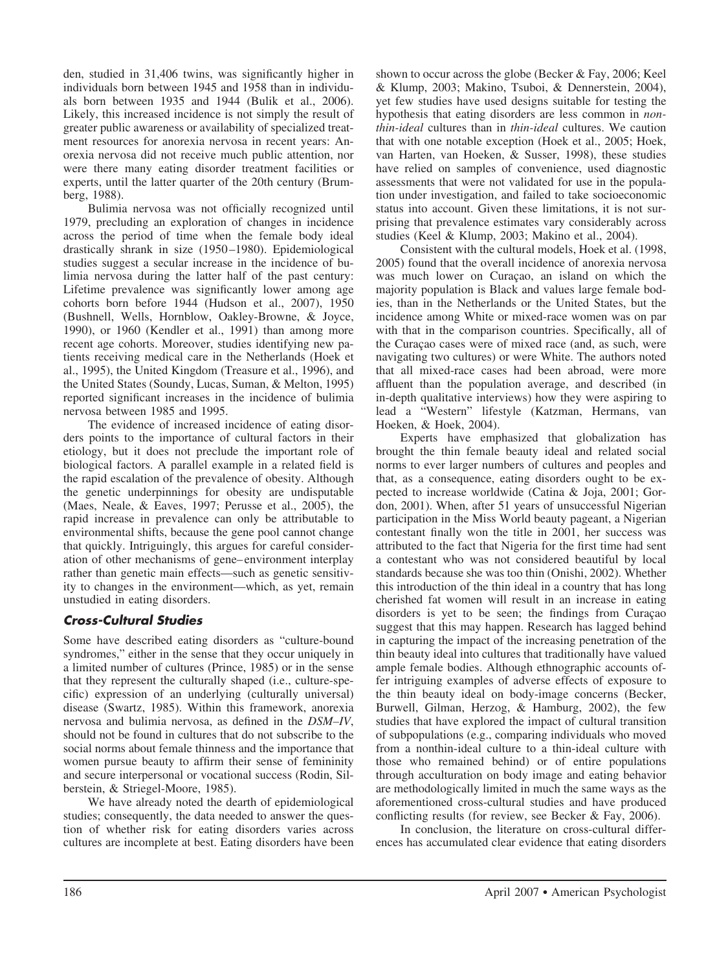den, studied in 31,406 twins, was significantly higher in individuals born between 1945 and 1958 than in individuals born between 1935 and 1944 (Bulik et al., 2006). Likely, this increased incidence is not simply the result of greater public awareness or availability of specialized treatment resources for anorexia nervosa in recent years: Anorexia nervosa did not receive much public attention, nor were there many eating disorder treatment facilities or experts, until the latter quarter of the 20th century (Brumberg, 1988).

Bulimia nervosa was not officially recognized until 1979, precluding an exploration of changes in incidence across the period of time when the female body ideal drastically shrank in size (1950 –1980). Epidemiological studies suggest a secular increase in the incidence of bulimia nervosa during the latter half of the past century: Lifetime prevalence was significantly lower among age cohorts born before 1944 (Hudson et al., 2007), 1950 (Bushnell, Wells, Hornblow, Oakley-Browne, & Joyce, 1990), or 1960 (Kendler et al., 1991) than among more recent age cohorts. Moreover, studies identifying new patients receiving medical care in the Netherlands (Hoek et al., 1995), the United Kingdom (Treasure et al., 1996), and the United States (Soundy, Lucas, Suman, & Melton, 1995) reported significant increases in the incidence of bulimia nervosa between 1985 and 1995.

The evidence of increased incidence of eating disorders points to the importance of cultural factors in their etiology, but it does not preclude the important role of biological factors. A parallel example in a related field is the rapid escalation of the prevalence of obesity. Although the genetic underpinnings for obesity are undisputable (Maes, Neale, & Eaves, 1997; Perusse et al., 2005), the rapid increase in prevalence can only be attributable to environmental shifts, because the gene pool cannot change that quickly. Intriguingly, this argues for careful consideration of other mechanisms of gene– environment interplay rather than genetic main effects—such as genetic sensitivity to changes in the environment—which, as yet, remain unstudied in eating disorders.

### *Cross-Cultural Studies*

Some have described eating disorders as "culture-bound syndromes," either in the sense that they occur uniquely in a limited number of cultures (Prince, 1985) or in the sense that they represent the culturally shaped (i.e., culture-specific) expression of an underlying (culturally universal) disease (Swartz, 1985). Within this framework, anorexia nervosa and bulimia nervosa, as defined in the *DSM–IV*, should not be found in cultures that do not subscribe to the social norms about female thinness and the importance that women pursue beauty to affirm their sense of femininity and secure interpersonal or vocational success (Rodin, Silberstein, & Striegel-Moore, 1985).

We have already noted the dearth of epidemiological studies; consequently, the data needed to answer the question of whether risk for eating disorders varies across cultures are incomplete at best. Eating disorders have been shown to occur across the globe (Becker & Fay, 2006; Keel & Klump, 2003; Makino, Tsuboi, & Dennerstein, 2004), yet few studies have used designs suitable for testing the hypothesis that eating disorders are less common in *nonthin-ideal* cultures than in *thin-ideal* cultures. We caution that with one notable exception (Hoek et al., 2005; Hoek, van Harten, van Hoeken, & Susser, 1998), these studies have relied on samples of convenience, used diagnostic assessments that were not validated for use in the population under investigation, and failed to take socioeconomic status into account. Given these limitations, it is not surprising that prevalence estimates vary considerably across studies (Keel & Klump, 2003; Makino et al., 2004).

Consistent with the cultural models, Hoek et al. (1998, 2005) found that the overall incidence of anorexia nervosa was much lower on Curaçao, an island on which the majority population is Black and values large female bodies, than in the Netherlands or the United States, but the incidence among White or mixed-race women was on par with that in the comparison countries. Specifically, all of the Curação cases were of mixed race (and, as such, were navigating two cultures) or were White. The authors noted that all mixed-race cases had been abroad, were more affluent than the population average, and described (in in-depth qualitative interviews) how they were aspiring to lead a "Western" lifestyle (Katzman, Hermans, van Hoeken, & Hoek, 2004).

Experts have emphasized that globalization has brought the thin female beauty ideal and related social norms to ever larger numbers of cultures and peoples and that, as a consequence, eating disorders ought to be expected to increase worldwide (Catina & Joja, 2001; Gordon, 2001). When, after 51 years of unsuccessful Nigerian participation in the Miss World beauty pageant, a Nigerian contestant finally won the title in 2001, her success was attributed to the fact that Nigeria for the first time had sent a contestant who was not considered beautiful by local standards because she was too thin (Onishi, 2002). Whether this introduction of the thin ideal in a country that has long cherished fat women will result in an increase in eating disorders is yet to be seen; the findings from Curaçao suggest that this may happen. Research has lagged behind in capturing the impact of the increasing penetration of the thin beauty ideal into cultures that traditionally have valued ample female bodies. Although ethnographic accounts offer intriguing examples of adverse effects of exposure to the thin beauty ideal on body-image concerns (Becker, Burwell, Gilman, Herzog, & Hamburg, 2002), the few studies that have explored the impact of cultural transition of subpopulations (e.g., comparing individuals who moved from a nonthin-ideal culture to a thin-ideal culture with those who remained behind) or of entire populations through acculturation on body image and eating behavior are methodologically limited in much the same ways as the aforementioned cross-cultural studies and have produced conflicting results (for review, see Becker & Fay, 2006).

In conclusion, the literature on cross-cultural differences has accumulated clear evidence that eating disorders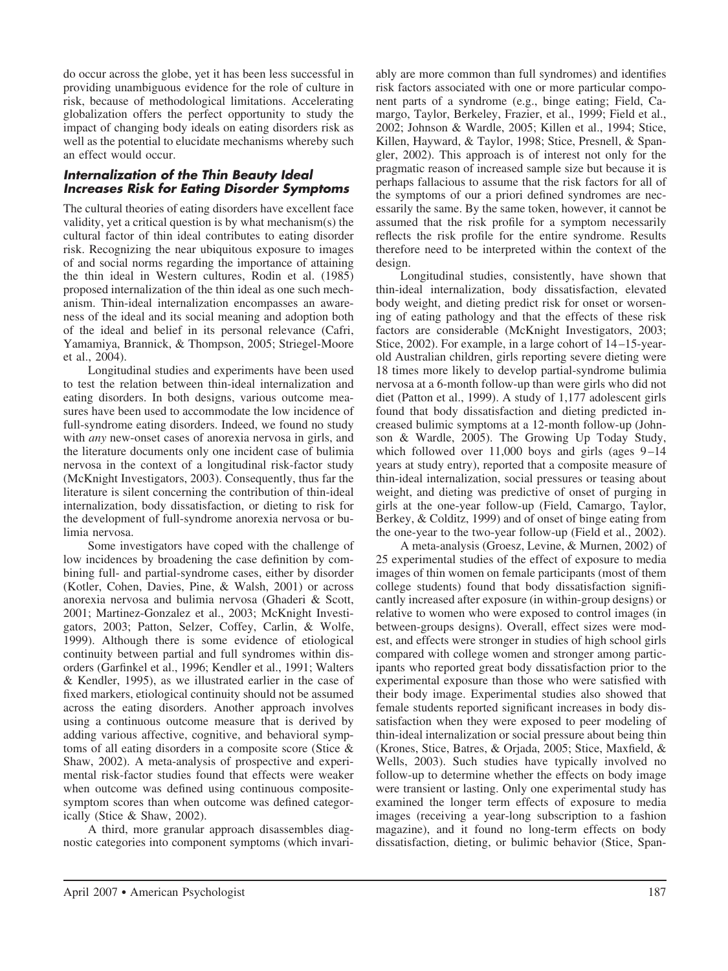do occur across the globe, yet it has been less successful in providing unambiguous evidence for the role of culture in risk, because of methodological limitations. Accelerating globalization offers the perfect opportunity to study the impact of changing body ideals on eating disorders risk as well as the potential to elucidate mechanisms whereby such an effect would occur.

#### *Internalization of the Thin Beauty Ideal Increases Risk for Eating Disorder Symptoms*

The cultural theories of eating disorders have excellent face validity, yet a critical question is by what mechanism(s) the cultural factor of thin ideal contributes to eating disorder risk. Recognizing the near ubiquitous exposure to images of and social norms regarding the importance of attaining the thin ideal in Western cultures, Rodin et al. (1985) proposed internalization of the thin ideal as one such mechanism. Thin-ideal internalization encompasses an awareness of the ideal and its social meaning and adoption both of the ideal and belief in its personal relevance (Cafri, Yamamiya, Brannick, & Thompson, 2005; Striegel-Moore et al., 2004).

Longitudinal studies and experiments have been used to test the relation between thin-ideal internalization and eating disorders. In both designs, various outcome measures have been used to accommodate the low incidence of full-syndrome eating disorders. Indeed, we found no study with *any* new-onset cases of anorexia nervosa in girls, and the literature documents only one incident case of bulimia nervosa in the context of a longitudinal risk-factor study (McKnight Investigators, 2003). Consequently, thus far the literature is silent concerning the contribution of thin-ideal internalization, body dissatisfaction, or dieting to risk for the development of full-syndrome anorexia nervosa or bulimia nervosa.

Some investigators have coped with the challenge of low incidences by broadening the case definition by combining full- and partial-syndrome cases, either by disorder (Kotler, Cohen, Davies, Pine, & Walsh, 2001) or across anorexia nervosa and bulimia nervosa (Ghaderi & Scott, 2001; Martinez-Gonzalez et al., 2003; McKnight Investigators, 2003; Patton, Selzer, Coffey, Carlin, & Wolfe, 1999). Although there is some evidence of etiological continuity between partial and full syndromes within disorders (Garfinkel et al., 1996; Kendler et al., 1991; Walters & Kendler, 1995), as we illustrated earlier in the case of fixed markers, etiological continuity should not be assumed across the eating disorders. Another approach involves using a continuous outcome measure that is derived by adding various affective, cognitive, and behavioral symptoms of all eating disorders in a composite score (Stice & Shaw, 2002). A meta-analysis of prospective and experimental risk-factor studies found that effects were weaker when outcome was defined using continuous compositesymptom scores than when outcome was defined categorically (Stice & Shaw, 2002).

A third, more granular approach disassembles diagnostic categories into component symptoms (which invariably are more common than full syndromes) and identifies risk factors associated with one or more particular component parts of a syndrome (e.g., binge eating; Field, Camargo, Taylor, Berkeley, Frazier, et al., 1999; Field et al., 2002; Johnson & Wardle, 2005; Killen et al., 1994; Stice, Killen, Hayward, & Taylor, 1998; Stice, Presnell, & Spangler, 2002). This approach is of interest not only for the pragmatic reason of increased sample size but because it is perhaps fallacious to assume that the risk factors for all of the symptoms of our a priori defined syndromes are necessarily the same. By the same token, however, it cannot be assumed that the risk profile for a symptom necessarily reflects the risk profile for the entire syndrome. Results therefore need to be interpreted within the context of the design.

Longitudinal studies, consistently, have shown that thin-ideal internalization, body dissatisfaction, elevated body weight, and dieting predict risk for onset or worsening of eating pathology and that the effects of these risk factors are considerable (McKnight Investigators, 2003; Stice, 2002). For example, in a large cohort of 14 –15-yearold Australian children, girls reporting severe dieting were 18 times more likely to develop partial-syndrome bulimia nervosa at a 6-month follow-up than were girls who did not diet (Patton et al., 1999). A study of 1,177 adolescent girls found that body dissatisfaction and dieting predicted increased bulimic symptoms at a 12-month follow-up (Johnson & Wardle, 2005). The Growing Up Today Study, which followed over  $11,000$  boys and girls (ages  $9-14$ years at study entry), reported that a composite measure of thin-ideal internalization, social pressures or teasing about weight, and dieting was predictive of onset of purging in girls at the one-year follow-up (Field, Camargo, Taylor, Berkey, & Colditz, 1999) and of onset of binge eating from the one-year to the two-year follow-up (Field et al., 2002).

A meta-analysis (Groesz, Levine, & Murnen, 2002) of 25 experimental studies of the effect of exposure to media images of thin women on female participants (most of them college students) found that body dissatisfaction significantly increased after exposure (in within-group designs) or relative to women who were exposed to control images (in between-groups designs). Overall, effect sizes were modest, and effects were stronger in studies of high school girls compared with college women and stronger among participants who reported great body dissatisfaction prior to the experimental exposure than those who were satisfied with their body image. Experimental studies also showed that female students reported significant increases in body dissatisfaction when they were exposed to peer modeling of thin-ideal internalization or social pressure about being thin (Krones, Stice, Batres, & Orjada, 2005; Stice, Maxfield, & Wells, 2003). Such studies have typically involved no follow-up to determine whether the effects on body image were transient or lasting. Only one experimental study has examined the longer term effects of exposure to media images (receiving a year-long subscription to a fashion magazine), and it found no long-term effects on body dissatisfaction, dieting, or bulimic behavior (Stice, Span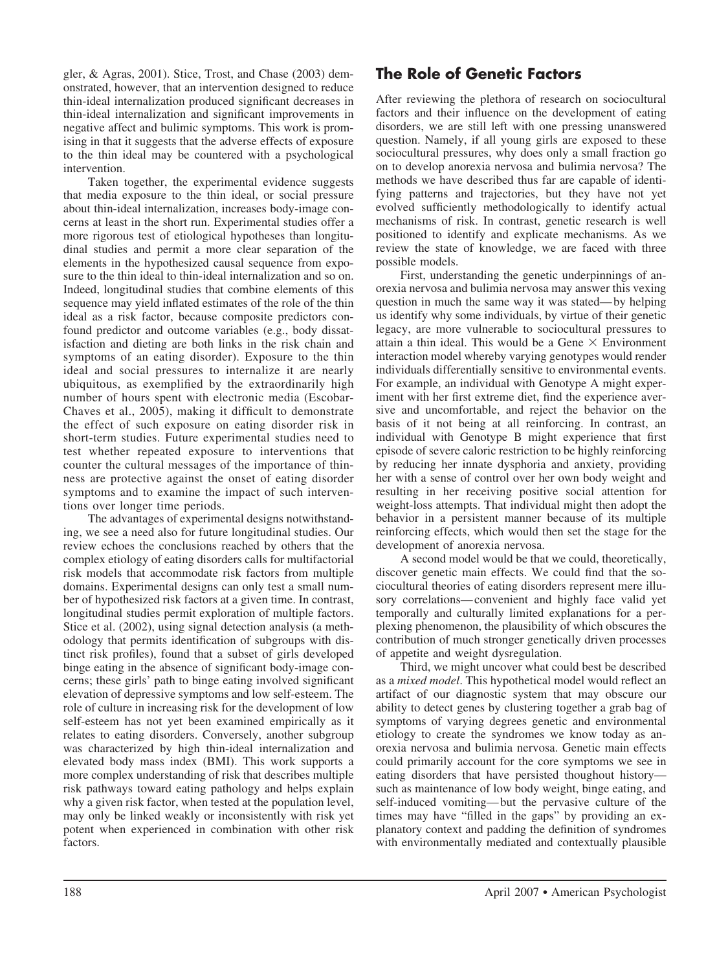gler, & Agras, 2001). Stice, Trost, and Chase (2003) demonstrated, however, that an intervention designed to reduce thin-ideal internalization produced significant decreases in thin-ideal internalization and significant improvements in negative affect and bulimic symptoms. This work is promising in that it suggests that the adverse effects of exposure to the thin ideal may be countered with a psychological intervention.

Taken together, the experimental evidence suggests that media exposure to the thin ideal, or social pressure about thin-ideal internalization, increases body-image concerns at least in the short run. Experimental studies offer a more rigorous test of etiological hypotheses than longitudinal studies and permit a more clear separation of the elements in the hypothesized causal sequence from exposure to the thin ideal to thin-ideal internalization and so on. Indeed, longitudinal studies that combine elements of this sequence may yield inflated estimates of the role of the thin ideal as a risk factor, because composite predictors confound predictor and outcome variables (e.g., body dissatisfaction and dieting are both links in the risk chain and symptoms of an eating disorder). Exposure to the thin ideal and social pressures to internalize it are nearly ubiquitous, as exemplified by the extraordinarily high number of hours spent with electronic media (Escobar-Chaves et al., 2005), making it difficult to demonstrate the effect of such exposure on eating disorder risk in short-term studies. Future experimental studies need to test whether repeated exposure to interventions that counter the cultural messages of the importance of thinness are protective against the onset of eating disorder symptoms and to examine the impact of such interventions over longer time periods.

The advantages of experimental designs notwithstanding, we see a need also for future longitudinal studies. Our review echoes the conclusions reached by others that the complex etiology of eating disorders calls for multifactorial risk models that accommodate risk factors from multiple domains. Experimental designs can only test a small number of hypothesized risk factors at a given time. In contrast, longitudinal studies permit exploration of multiple factors. Stice et al. (2002), using signal detection analysis (a methodology that permits identification of subgroups with distinct risk profiles), found that a subset of girls developed binge eating in the absence of significant body-image concerns; these girls' path to binge eating involved significant elevation of depressive symptoms and low self-esteem. The role of culture in increasing risk for the development of low self-esteem has not yet been examined empirically as it relates to eating disorders. Conversely, another subgroup was characterized by high thin-ideal internalization and elevated body mass index (BMI). This work supports a more complex understanding of risk that describes multiple risk pathways toward eating pathology and helps explain why a given risk factor, when tested at the population level, may only be linked weakly or inconsistently with risk yet potent when experienced in combination with other risk factors.

### **The Role of Genetic Factors**

After reviewing the plethora of research on sociocultural factors and their influence on the development of eating disorders, we are still left with one pressing unanswered question. Namely, if all young girls are exposed to these sociocultural pressures, why does only a small fraction go on to develop anorexia nervosa and bulimia nervosa? The methods we have described thus far are capable of identifying patterns and trajectories, but they have not yet evolved sufficiently methodologically to identify actual mechanisms of risk. In contrast, genetic research is well positioned to identify and explicate mechanisms. As we review the state of knowledge, we are faced with three possible models.

First, understanding the genetic underpinnings of anorexia nervosa and bulimia nervosa may answer this vexing question in much the same way it was stated— by helping us identify why some individuals, by virtue of their genetic legacy, are more vulnerable to sociocultural pressures to attain a thin ideal. This would be a Gene  $\times$  Environment interaction model whereby varying genotypes would render individuals differentially sensitive to environmental events. For example, an individual with Genotype A might experiment with her first extreme diet, find the experience aversive and uncomfortable, and reject the behavior on the basis of it not being at all reinforcing. In contrast, an individual with Genotype B might experience that first episode of severe caloric restriction to be highly reinforcing by reducing her innate dysphoria and anxiety, providing her with a sense of control over her own body weight and resulting in her receiving positive social attention for weight-loss attempts. That individual might then adopt the behavior in a persistent manner because of its multiple reinforcing effects, which would then set the stage for the development of anorexia nervosa.

A second model would be that we could, theoretically, discover genetic main effects. We could find that the sociocultural theories of eating disorders represent mere illusory correlations— convenient and highly face valid yet temporally and culturally limited explanations for a perplexing phenomenon, the plausibility of which obscures the contribution of much stronger genetically driven processes of appetite and weight dysregulation.

Third, we might uncover what could best be described as a *mixed model*. This hypothetical model would reflect an artifact of our diagnostic system that may obscure our ability to detect genes by clustering together a grab bag of symptoms of varying degrees genetic and environmental etiology to create the syndromes we know today as anorexia nervosa and bulimia nervosa. Genetic main effects could primarily account for the core symptoms we see in eating disorders that have persisted thoughout history such as maintenance of low body weight, binge eating, and self-induced vomiting— but the pervasive culture of the times may have "filled in the gaps" by providing an explanatory context and padding the definition of syndromes with environmentally mediated and contextually plausible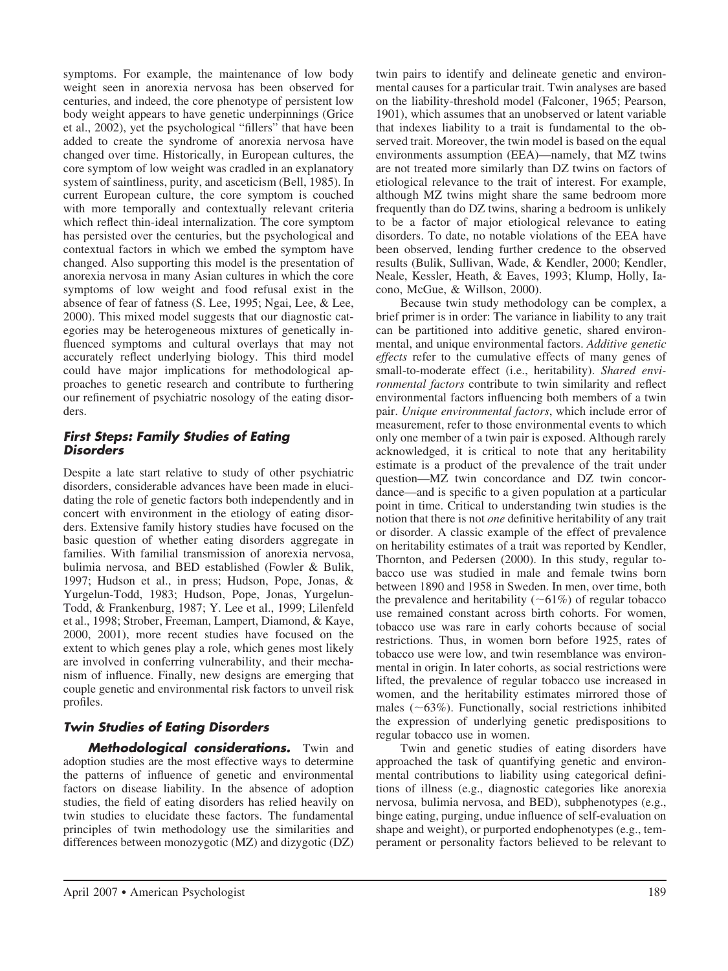symptoms. For example, the maintenance of low body weight seen in anorexia nervosa has been observed for centuries, and indeed, the core phenotype of persistent low body weight appears to have genetic underpinnings (Grice et al., 2002), yet the psychological "fillers" that have been added to create the syndrome of anorexia nervosa have changed over time. Historically, in European cultures, the core symptom of low weight was cradled in an explanatory system of saintliness, purity, and asceticism (Bell, 1985). In current European culture, the core symptom is couched with more temporally and contextually relevant criteria which reflect thin-ideal internalization. The core symptom has persisted over the centuries, but the psychological and contextual factors in which we embed the symptom have changed. Also supporting this model is the presentation of anorexia nervosa in many Asian cultures in which the core symptoms of low weight and food refusal exist in the absence of fear of fatness (S. Lee, 1995; Ngai, Lee, & Lee, 2000). This mixed model suggests that our diagnostic categories may be heterogeneous mixtures of genetically influenced symptoms and cultural overlays that may not accurately reflect underlying biology. This third model could have major implications for methodological approaches to genetic research and contribute to furthering our refinement of psychiatric nosology of the eating disorders.

#### *First Steps: Family Studies of Eating Disorders*

Despite a late start relative to study of other psychiatric disorders, considerable advances have been made in elucidating the role of genetic factors both independently and in concert with environment in the etiology of eating disorders. Extensive family history studies have focused on the basic question of whether eating disorders aggregate in families. With familial transmission of anorexia nervosa, bulimia nervosa, and BED established (Fowler & Bulik, 1997; Hudson et al., in press; Hudson, Pope, Jonas, & Yurgelun-Todd, 1983; Hudson, Pope, Jonas, Yurgelun-Todd, & Frankenburg, 1987; Y. Lee et al., 1999; Lilenfeld et al., 1998; Strober, Freeman, Lampert, Diamond, & Kaye, 2000, 2001), more recent studies have focused on the extent to which genes play a role, which genes most likely are involved in conferring vulnerability, and their mechanism of influence. Finally, new designs are emerging that couple genetic and environmental risk factors to unveil risk profiles.

### *Twin Studies of Eating Disorders*

*Methodological considerations.* Twin and adoption studies are the most effective ways to determine the patterns of influence of genetic and environmental factors on disease liability. In the absence of adoption studies, the field of eating disorders has relied heavily on twin studies to elucidate these factors. The fundamental principles of twin methodology use the similarities and differences between monozygotic (MZ) and dizygotic (DZ)

twin pairs to identify and delineate genetic and environmental causes for a particular trait. Twin analyses are based on the liability-threshold model (Falconer, 1965; Pearson, 1901), which assumes that an unobserved or latent variable that indexes liability to a trait is fundamental to the observed trait. Moreover, the twin model is based on the equal environments assumption (EEA)—namely, that MZ twins are not treated more similarly than DZ twins on factors of etiological relevance to the trait of interest. For example, although MZ twins might share the same bedroom more frequently than do DZ twins, sharing a bedroom is unlikely to be a factor of major etiological relevance to eating disorders. To date, no notable violations of the EEA have been observed, lending further credence to the observed results (Bulik, Sullivan, Wade, & Kendler, 2000; Kendler, Neale, Kessler, Heath, & Eaves, 1993; Klump, Holly, Iacono, McGue, & Willson, 2000).

Because twin study methodology can be complex, a brief primer is in order: The variance in liability to any trait can be partitioned into additive genetic, shared environmental, and unique environmental factors. *Additive genetic effects* refer to the cumulative effects of many genes of small-to-moderate effect (i.e., heritability). *Shared environmental factors* contribute to twin similarity and reflect environmental factors influencing both members of a twin pair. *Unique environmental factors*, which include error of measurement, refer to those environmental events to which only one member of a twin pair is exposed. Although rarely acknowledged, it is critical to note that any heritability estimate is a product of the prevalence of the trait under question—MZ twin concordance and DZ twin concordance—and is specific to a given population at a particular point in time. Critical to understanding twin studies is the notion that there is not *one* definitive heritability of any trait or disorder. A classic example of the effect of prevalence on heritability estimates of a trait was reported by Kendler, Thornton, and Pedersen (2000). In this study, regular tobacco use was studied in male and female twins born between 1890 and 1958 in Sweden. In men, over time, both the prevalence and heritability  $(\sim 61\%)$  of regular tobacco use remained constant across birth cohorts. For women, tobacco use was rare in early cohorts because of social restrictions. Thus, in women born before 1925, rates of tobacco use were low, and twin resemblance was environmental in origin. In later cohorts, as social restrictions were lifted, the prevalence of regular tobacco use increased in women, and the heritability estimates mirrored those of males  $(\sim 63\%)$ . Functionally, social restrictions inhibited the expression of underlying genetic predispositions to regular tobacco use in women.

Twin and genetic studies of eating disorders have approached the task of quantifying genetic and environmental contributions to liability using categorical definitions of illness (e.g., diagnostic categories like anorexia nervosa, bulimia nervosa, and BED), subphenotypes (e.g., binge eating, purging, undue influence of self-evaluation on shape and weight), or purported endophenotypes (e.g., temperament or personality factors believed to be relevant to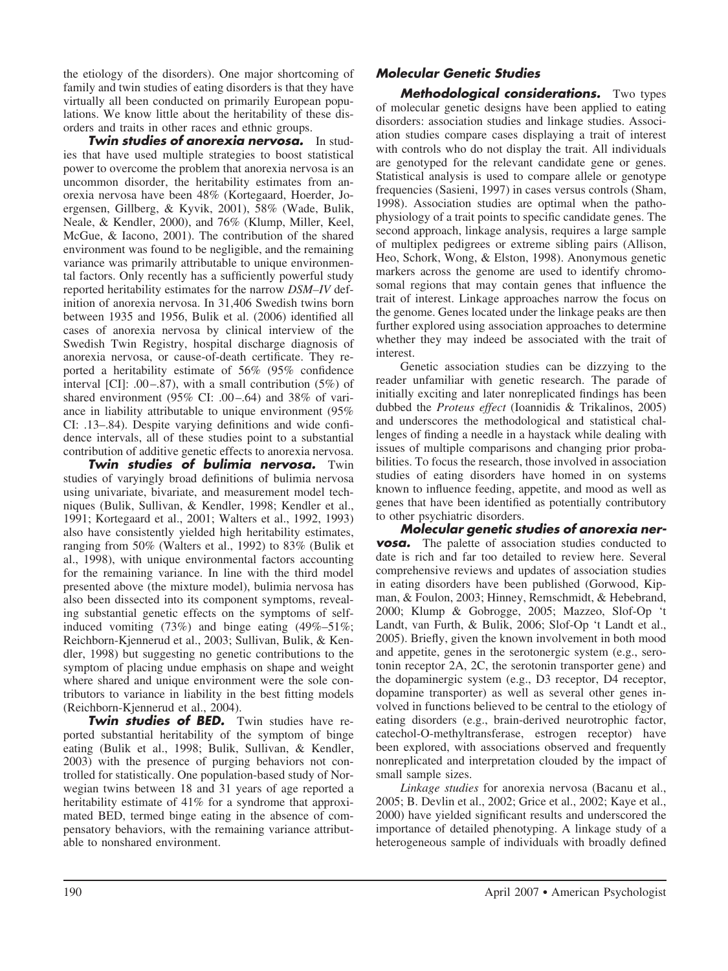the etiology of the disorders). One major shortcoming of family and twin studies of eating disorders is that they have virtually all been conducted on primarily European populations. We know little about the heritability of these disorders and traits in other races and ethnic groups.

*Twin studies of anorexia nervosa.* In studies that have used multiple strategies to boost statistical power to overcome the problem that anorexia nervosa is an uncommon disorder, the heritability estimates from anorexia nervosa have been 48% (Kortegaard, Hoerder, Joergensen, Gillberg, & Kyvik, 2001), 58% (Wade, Bulik, Neale, & Kendler, 2000), and 76% (Klump, Miller, Keel, McGue, & Iacono, 2001). The contribution of the shared environment was found to be negligible, and the remaining variance was primarily attributable to unique environmental factors. Only recently has a sufficiently powerful study reported heritability estimates for the narrow *DSM–IV* definition of anorexia nervosa. In 31,406 Swedish twins born between 1935 and 1956, Bulik et al. (2006) identified all cases of anorexia nervosa by clinical interview of the Swedish Twin Registry, hospital discharge diagnosis of anorexia nervosa, or cause-of-death certificate. They reported a heritability estimate of 56% (95% confidence interval [CI]: .00–.87), with a small contribution  $(5%)$  of shared environment (95% CI: .00–.64) and 38% of variance in liability attributable to unique environment (95% CI: .13–.84). Despite varying definitions and wide confidence intervals, all of these studies point to a substantial contribution of additive genetic effects to anorexia nervosa.

*Twin studies of bulimia nervosa.* Twin studies of varyingly broad definitions of bulimia nervosa using univariate, bivariate, and measurement model techniques (Bulik, Sullivan, & Kendler, 1998; Kendler et al., 1991; Kortegaard et al., 2001; Walters et al., 1992, 1993) also have consistently yielded high heritability estimates, ranging from 50% (Walters et al., 1992) to 83% (Bulik et al., 1998), with unique environmental factors accounting for the remaining variance. In line with the third model presented above (the mixture model), bulimia nervosa has also been dissected into its component symptoms, revealing substantial genetic effects on the symptoms of selfinduced vomiting (73%) and binge eating (49%–51%; Reichborn-Kjennerud et al., 2003; Sullivan, Bulik, & Kendler, 1998) but suggesting no genetic contributions to the symptom of placing undue emphasis on shape and weight where shared and unique environment were the sole contributors to variance in liability in the best fitting models (Reichborn-Kjennerud et al., 2004).

**Twin studies of BED.** Twin studies have reported substantial heritability of the symptom of binge eating (Bulik et al., 1998; Bulik, Sullivan, & Kendler, 2003) with the presence of purging behaviors not controlled for statistically. One population-based study of Norwegian twins between 18 and 31 years of age reported a heritability estimate of 41% for a syndrome that approximated BED, termed binge eating in the absence of compensatory behaviors, with the remaining variance attributable to nonshared environment.

#### *Molecular Genetic Studies*

*Methodological considerations.* Two types of molecular genetic designs have been applied to eating disorders: association studies and linkage studies. Association studies compare cases displaying a trait of interest with controls who do not display the trait. All individuals are genotyped for the relevant candidate gene or genes. Statistical analysis is used to compare allele or genotype frequencies (Sasieni, 1997) in cases versus controls (Sham, 1998). Association studies are optimal when the pathophysiology of a trait points to specific candidate genes. The second approach, linkage analysis, requires a large sample of multiplex pedigrees or extreme sibling pairs (Allison, Heo, Schork, Wong, & Elston, 1998). Anonymous genetic markers across the genome are used to identify chromosomal regions that may contain genes that influence the trait of interest. Linkage approaches narrow the focus on the genome. Genes located under the linkage peaks are then further explored using association approaches to determine whether they may indeed be associated with the trait of interest.

Genetic association studies can be dizzying to the reader unfamiliar with genetic research. The parade of initially exciting and later nonreplicated findings has been dubbed the *Proteus effect* (Ioannidis & Trikalinos, 2005) and underscores the methodological and statistical challenges of finding a needle in a haystack while dealing with issues of multiple comparisons and changing prior probabilities. To focus the research, those involved in association studies of eating disorders have homed in on systems known to influence feeding, appetite, and mood as well as genes that have been identified as potentially contributory to other psychiatric disorders.

*Molecular genetic studies of anorexia nervosa.* The palette of association studies conducted to date is rich and far too detailed to review here. Several comprehensive reviews and updates of association studies in eating disorders have been published (Gorwood, Kipman, & Foulon, 2003; Hinney, Remschmidt, & Hebebrand, 2000; Klump & Gobrogge, 2005; Mazzeo, Slof-Op 't Landt, van Furth, & Bulik, 2006; Slof-Op 't Landt et al., 2005). Briefly, given the known involvement in both mood and appetite, genes in the serotonergic system (e.g., serotonin receptor 2A, 2C, the serotonin transporter gene) and the dopaminergic system (e.g., D3 receptor, D4 receptor, dopamine transporter) as well as several other genes involved in functions believed to be central to the etiology of eating disorders (e.g., brain-derived neurotrophic factor, catechol-O-methyltransferase, estrogen receptor) have been explored, with associations observed and frequently nonreplicated and interpretation clouded by the impact of small sample sizes.

*Linkage studies* for anorexia nervosa (Bacanu et al., 2005; B. Devlin et al., 2002; Grice et al., 2002; Kaye et al., 2000) have yielded significant results and underscored the importance of detailed phenotyping. A linkage study of a heterogeneous sample of individuals with broadly defined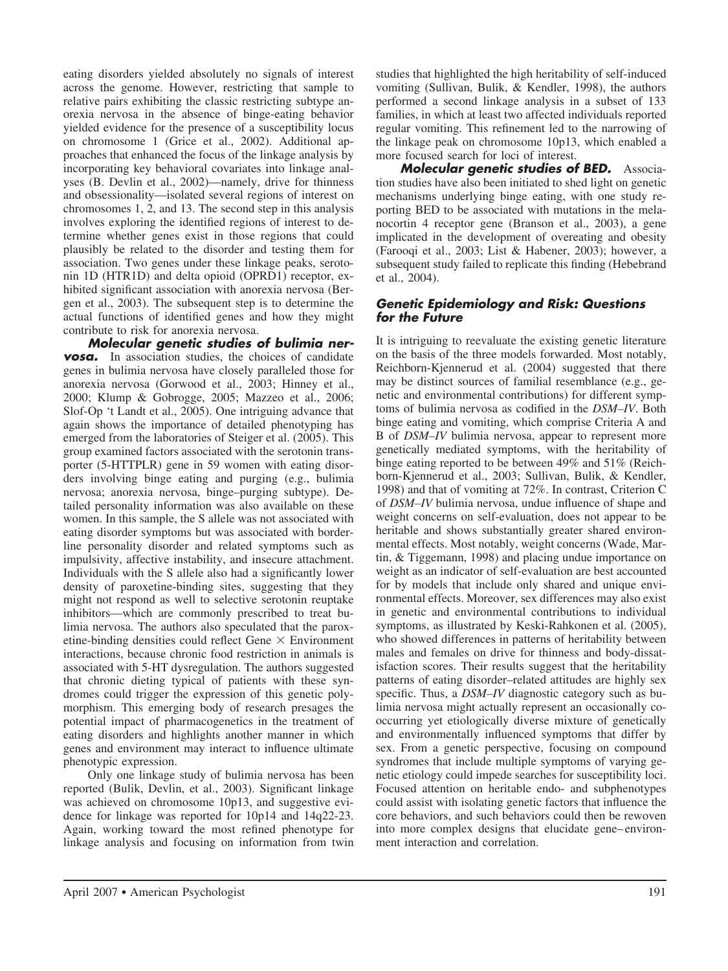eating disorders yielded absolutely no signals of interest across the genome. However, restricting that sample to relative pairs exhibiting the classic restricting subtype anorexia nervosa in the absence of binge-eating behavior yielded evidence for the presence of a susceptibility locus on chromosome 1 (Grice et al., 2002). Additional approaches that enhanced the focus of the linkage analysis by incorporating key behavioral covariates into linkage analyses (B. Devlin et al., 2002)—namely, drive for thinness and obsessionality—isolated several regions of interest on chromosomes 1, 2, and 13. The second step in this analysis involves exploring the identified regions of interest to determine whether genes exist in those regions that could plausibly be related to the disorder and testing them for association. Two genes under these linkage peaks, serotonin 1D (HTR1D) and delta opioid (OPRD1) receptor, exhibited significant association with anorexia nervosa (Bergen et al., 2003). The subsequent step is to determine the actual functions of identified genes and how they might contribute to risk for anorexia nervosa.

*Molecular genetic studies of bulimia nervosa.* In association studies, the choices of candidate genes in bulimia nervosa have closely paralleled those for anorexia nervosa (Gorwood et al., 2003; Hinney et al., 2000; Klump & Gobrogge, 2005; Mazzeo et al., 2006; Slof-Op 't Landt et al., 2005). One intriguing advance that again shows the importance of detailed phenotyping has emerged from the laboratories of Steiger et al. (2005). This group examined factors associated with the serotonin transporter (5-HTTPLR) gene in 59 women with eating disorders involving binge eating and purging (e.g., bulimia nervosa; anorexia nervosa, binge–purging subtype). Detailed personality information was also available on these women. In this sample, the S allele was not associated with eating disorder symptoms but was associated with borderline personality disorder and related symptoms such as impulsivity, affective instability, and insecure attachment. Individuals with the S allele also had a significantly lower density of paroxetine-binding sites, suggesting that they might not respond as well to selective serotonin reuptake inhibitors—which are commonly prescribed to treat bulimia nervosa. The authors also speculated that the paroxetine-binding densities could reflect Gene  $\times$  Environment interactions, because chronic food restriction in animals is associated with 5-HT dysregulation. The authors suggested that chronic dieting typical of patients with these syndromes could trigger the expression of this genetic polymorphism. This emerging body of research presages the potential impact of pharmacogenetics in the treatment of eating disorders and highlights another manner in which genes and environment may interact to influence ultimate phenotypic expression.

Only one linkage study of bulimia nervosa has been reported (Bulik, Devlin, et al., 2003). Significant linkage was achieved on chromosome 10p13, and suggestive evidence for linkage was reported for 10p14 and 14q22-23. Again, working toward the most refined phenotype for linkage analysis and focusing on information from twin studies that highlighted the high heritability of self-induced vomiting (Sullivan, Bulik, & Kendler, 1998), the authors performed a second linkage analysis in a subset of 133 families, in which at least two affected individuals reported regular vomiting. This refinement led to the narrowing of the linkage peak on chromosome 10p13, which enabled a more focused search for loci of interest.

*Molecular genetic studies of BED.* Association studies have also been initiated to shed light on genetic mechanisms underlying binge eating, with one study reporting BED to be associated with mutations in the melanocortin 4 receptor gene (Branson et al., 2003), a gene implicated in the development of overeating and obesity (Farooqi et al., 2003; List & Habener, 2003); however, a subsequent study failed to replicate this finding (Hebebrand et al., 2004).

#### *Genetic Epidemiology and Risk: Questions for the Future*

It is intriguing to reevaluate the existing genetic literature on the basis of the three models forwarded. Most notably, Reichborn-Kjennerud et al. (2004) suggested that there may be distinct sources of familial resemblance (e.g., genetic and environmental contributions) for different symptoms of bulimia nervosa as codified in the *DSM–IV*. Both binge eating and vomiting, which comprise Criteria A and B of *DSM–IV* bulimia nervosa, appear to represent more genetically mediated symptoms, with the heritability of binge eating reported to be between 49% and 51% (Reichborn-Kjennerud et al., 2003; Sullivan, Bulik, & Kendler, 1998) and that of vomiting at 72%. In contrast, Criterion C of *DSM–IV* bulimia nervosa, undue influence of shape and weight concerns on self-evaluation, does not appear to be heritable and shows substantially greater shared environmental effects. Most notably, weight concerns (Wade, Martin, & Tiggemann, 1998) and placing undue importance on weight as an indicator of self-evaluation are best accounted for by models that include only shared and unique environmental effects. Moreover, sex differences may also exist in genetic and environmental contributions to individual symptoms, as illustrated by Keski-Rahkonen et al. (2005), who showed differences in patterns of heritability between males and females on drive for thinness and body-dissatisfaction scores. Their results suggest that the heritability patterns of eating disorder–related attitudes are highly sex specific. Thus, a *DSM–IV* diagnostic category such as bulimia nervosa might actually represent an occasionally cooccurring yet etiologically diverse mixture of genetically and environmentally influenced symptoms that differ by sex. From a genetic perspective, focusing on compound syndromes that include multiple symptoms of varying genetic etiology could impede searches for susceptibility loci. Focused attention on heritable endo- and subphenotypes could assist with isolating genetic factors that influence the core behaviors, and such behaviors could then be rewoven into more complex designs that elucidate gene– environment interaction and correlation.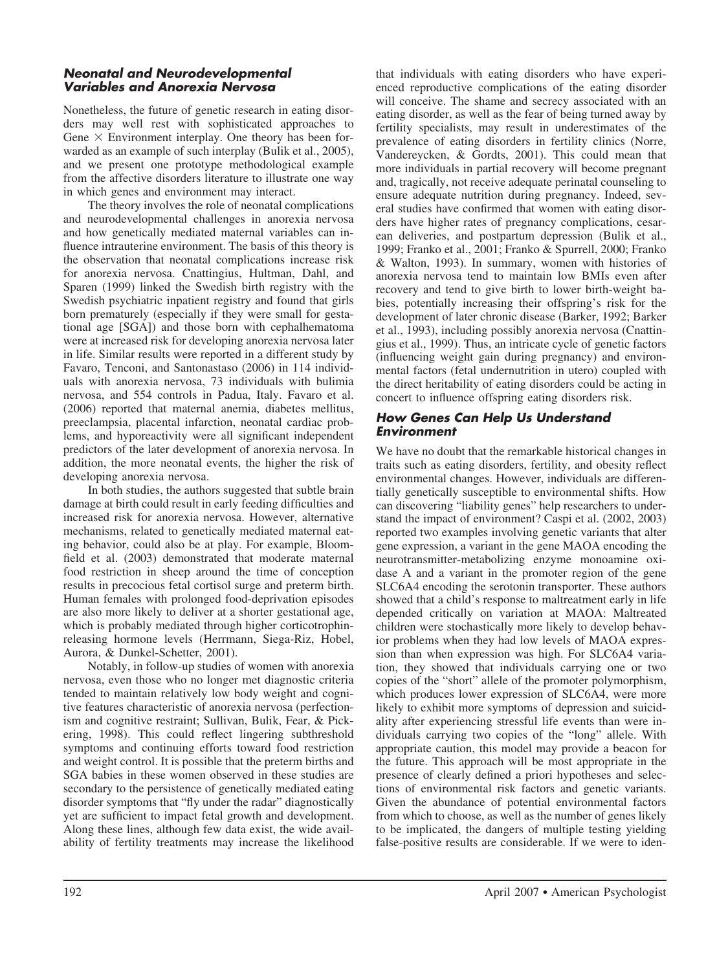#### *Neonatal and Neurodevelopmental Variables and Anorexia Nervosa*

Nonetheless, the future of genetic research in eating disorders may well rest with sophisticated approaches to Gene  $\times$  Environment interplay. One theory has been forwarded as an example of such interplay (Bulik et al., 2005), and we present one prototype methodological example from the affective disorders literature to illustrate one way in which genes and environment may interact.

The theory involves the role of neonatal complications and neurodevelopmental challenges in anorexia nervosa and how genetically mediated maternal variables can influence intrauterine environment. The basis of this theory is the observation that neonatal complications increase risk for anorexia nervosa. Cnattingius, Hultman, Dahl, and Sparen (1999) linked the Swedish birth registry with the Swedish psychiatric inpatient registry and found that girls born prematurely (especially if they were small for gestational age [SGA]) and those born with cephalhematoma were at increased risk for developing anorexia nervosa later in life. Similar results were reported in a different study by Favaro, Tenconi, and Santonastaso (2006) in 114 individuals with anorexia nervosa, 73 individuals with bulimia nervosa, and 554 controls in Padua, Italy. Favaro et al. (2006) reported that maternal anemia, diabetes mellitus, preeclampsia, placental infarction, neonatal cardiac problems, and hyporeactivity were all significant independent predictors of the later development of anorexia nervosa. In addition, the more neonatal events, the higher the risk of developing anorexia nervosa.

In both studies, the authors suggested that subtle brain damage at birth could result in early feeding difficulties and increased risk for anorexia nervosa. However, alternative mechanisms, related to genetically mediated maternal eating behavior, could also be at play. For example, Bloomfield et al. (2003) demonstrated that moderate maternal food restriction in sheep around the time of conception results in precocious fetal cortisol surge and preterm birth. Human females with prolonged food-deprivation episodes are also more likely to deliver at a shorter gestational age, which is probably mediated through higher corticotrophinreleasing hormone levels (Herrmann, Siega-Riz, Hobel, Aurora, & Dunkel-Schetter, 2001).

Notably, in follow-up studies of women with anorexia nervosa, even those who no longer met diagnostic criteria tended to maintain relatively low body weight and cognitive features characteristic of anorexia nervosa (perfectionism and cognitive restraint; Sullivan, Bulik, Fear, & Pickering, 1998). This could reflect lingering subthreshold symptoms and continuing efforts toward food restriction and weight control. It is possible that the preterm births and SGA babies in these women observed in these studies are secondary to the persistence of genetically mediated eating disorder symptoms that "fly under the radar" diagnostically yet are sufficient to impact fetal growth and development. Along these lines, although few data exist, the wide availability of fertility treatments may increase the likelihood

that individuals with eating disorders who have experienced reproductive complications of the eating disorder will conceive. The shame and secrecy associated with an eating disorder, as well as the fear of being turned away by fertility specialists, may result in underestimates of the prevalence of eating disorders in fertility clinics (Norre, Vandereycken, & Gordts, 2001). This could mean that more individuals in partial recovery will become pregnant and, tragically, not receive adequate perinatal counseling to ensure adequate nutrition during pregnancy. Indeed, several studies have confirmed that women with eating disorders have higher rates of pregnancy complications, cesarean deliveries, and postpartum depression (Bulik et al., 1999; Franko et al., 2001; Franko & Spurrell, 2000; Franko & Walton, 1993). In summary, women with histories of anorexia nervosa tend to maintain low BMIs even after recovery and tend to give birth to lower birth-weight babies, potentially increasing their offspring's risk for the development of later chronic disease (Barker, 1992; Barker et al., 1993), including possibly anorexia nervosa (Cnattingius et al., 1999). Thus, an intricate cycle of genetic factors (influencing weight gain during pregnancy) and environmental factors (fetal undernutrition in utero) coupled with the direct heritability of eating disorders could be acting in concert to influence offspring eating disorders risk.

#### *How Genes Can Help Us Understand Environment*

We have no doubt that the remarkable historical changes in traits such as eating disorders, fertility, and obesity reflect environmental changes. However, individuals are differentially genetically susceptible to environmental shifts. How can discovering "liability genes" help researchers to understand the impact of environment? Caspi et al. (2002, 2003) reported two examples involving genetic variants that alter gene expression, a variant in the gene MAOA encoding the neurotransmitter-metabolizing enzyme monoamine oxidase A and a variant in the promoter region of the gene SLC6A4 encoding the serotonin transporter. These authors showed that a child's response to maltreatment early in life depended critically on variation at MAOA: Maltreated children were stochastically more likely to develop behavior problems when they had low levels of MAOA expression than when expression was high. For SLC6A4 variation, they showed that individuals carrying one or two copies of the "short" allele of the promoter polymorphism, which produces lower expression of SLC6A4, were more likely to exhibit more symptoms of depression and suicidality after experiencing stressful life events than were individuals carrying two copies of the "long" allele. With appropriate caution, this model may provide a beacon for the future. This approach will be most appropriate in the presence of clearly defined a priori hypotheses and selections of environmental risk factors and genetic variants. Given the abundance of potential environmental factors from which to choose, as well as the number of genes likely to be implicated, the dangers of multiple testing yielding false-positive results are considerable. If we were to iden-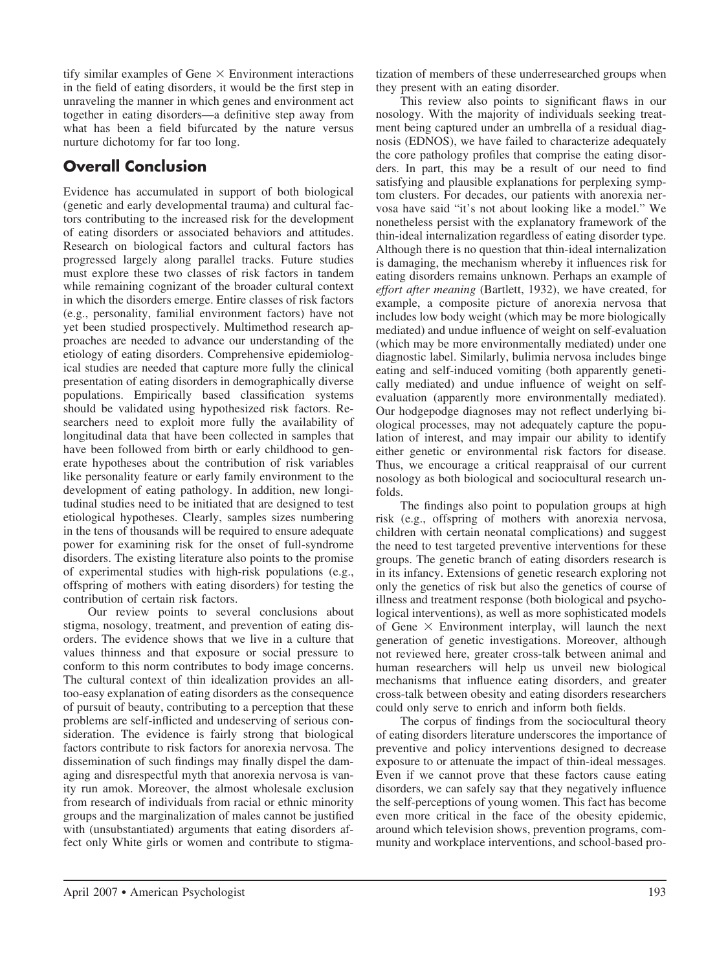tify similar examples of Gene  $\times$  Environment interactions in the field of eating disorders, it would be the first step in unraveling the manner in which genes and environment act together in eating disorders—a definitive step away from what has been a field bifurcated by the nature versus nurture dichotomy for far too long.

### **Overall Conclusion**

Evidence has accumulated in support of both biological (genetic and early developmental trauma) and cultural factors contributing to the increased risk for the development of eating disorders or associated behaviors and attitudes. Research on biological factors and cultural factors has progressed largely along parallel tracks. Future studies must explore these two classes of risk factors in tandem while remaining cognizant of the broader cultural context in which the disorders emerge. Entire classes of risk factors (e.g., personality, familial environment factors) have not yet been studied prospectively. Multimethod research approaches are needed to advance our understanding of the etiology of eating disorders. Comprehensive epidemiological studies are needed that capture more fully the clinical presentation of eating disorders in demographically diverse populations. Empirically based classification systems should be validated using hypothesized risk factors. Researchers need to exploit more fully the availability of longitudinal data that have been collected in samples that have been followed from birth or early childhood to generate hypotheses about the contribution of risk variables like personality feature or early family environment to the development of eating pathology. In addition, new longitudinal studies need to be initiated that are designed to test etiological hypotheses. Clearly, samples sizes numbering in the tens of thousands will be required to ensure adequate power for examining risk for the onset of full-syndrome disorders. The existing literature also points to the promise of experimental studies with high-risk populations (e.g., offspring of mothers with eating disorders) for testing the contribution of certain risk factors.

Our review points to several conclusions about stigma, nosology, treatment, and prevention of eating disorders. The evidence shows that we live in a culture that values thinness and that exposure or social pressure to conform to this norm contributes to body image concerns. The cultural context of thin idealization provides an alltoo-easy explanation of eating disorders as the consequence of pursuit of beauty, contributing to a perception that these problems are self-inflicted and undeserving of serious consideration. The evidence is fairly strong that biological factors contribute to risk factors for anorexia nervosa. The dissemination of such findings may finally dispel the damaging and disrespectful myth that anorexia nervosa is vanity run amok. Moreover, the almost wholesale exclusion from research of individuals from racial or ethnic minority groups and the marginalization of males cannot be justified with (unsubstantiated) arguments that eating disorders affect only White girls or women and contribute to stigmatization of members of these underresearched groups when they present with an eating disorder.

This review also points to significant flaws in our nosology. With the majority of individuals seeking treatment being captured under an umbrella of a residual diagnosis (EDNOS), we have failed to characterize adequately the core pathology profiles that comprise the eating disorders. In part, this may be a result of our need to find satisfying and plausible explanations for perplexing symptom clusters. For decades, our patients with anorexia nervosa have said "it's not about looking like a model." We nonetheless persist with the explanatory framework of the thin-ideal internalization regardless of eating disorder type. Although there is no question that thin-ideal internalization is damaging, the mechanism whereby it influences risk for eating disorders remains unknown. Perhaps an example of *effort after meaning* (Bartlett, 1932), we have created, for example, a composite picture of anorexia nervosa that includes low body weight (which may be more biologically mediated) and undue influence of weight on self-evaluation (which may be more environmentally mediated) under one diagnostic label. Similarly, bulimia nervosa includes binge eating and self-induced vomiting (both apparently genetically mediated) and undue influence of weight on selfevaluation (apparently more environmentally mediated). Our hodgepodge diagnoses may not reflect underlying biological processes, may not adequately capture the population of interest, and may impair our ability to identify either genetic or environmental risk factors for disease. Thus, we encourage a critical reappraisal of our current nosology as both biological and sociocultural research unfolds.

The findings also point to population groups at high risk (e.g., offspring of mothers with anorexia nervosa, children with certain neonatal complications) and suggest the need to test targeted preventive interventions for these groups. The genetic branch of eating disorders research is in its infancy. Extensions of genetic research exploring not only the genetics of risk but also the genetics of course of illness and treatment response (both biological and psychological interventions), as well as more sophisticated models of Gene  $\times$  Environment interplay, will launch the next generation of genetic investigations. Moreover, although not reviewed here, greater cross-talk between animal and human researchers will help us unveil new biological mechanisms that influence eating disorders, and greater cross-talk between obesity and eating disorders researchers could only serve to enrich and inform both fields.

The corpus of findings from the sociocultural theory of eating disorders literature underscores the importance of preventive and policy interventions designed to decrease exposure to or attenuate the impact of thin-ideal messages. Even if we cannot prove that these factors cause eating disorders, we can safely say that they negatively influence the self-perceptions of young women. This fact has become even more critical in the face of the obesity epidemic, around which television shows, prevention programs, community and workplace interventions, and school-based pro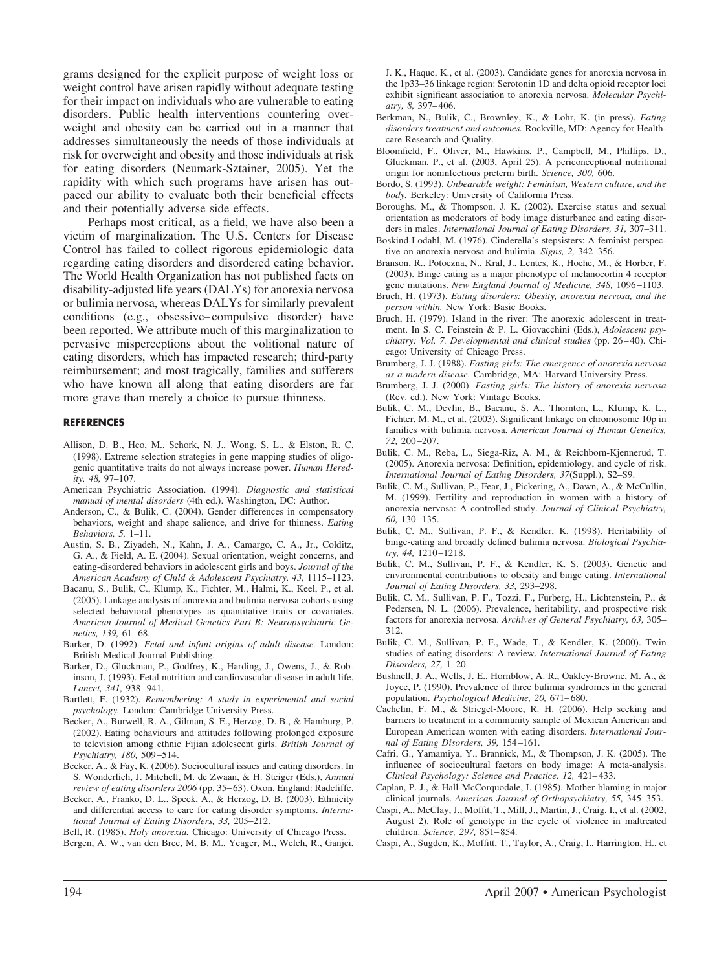grams designed for the explicit purpose of weight loss or weight control have arisen rapidly without adequate testing for their impact on individuals who are vulnerable to eating disorders. Public health interventions countering overweight and obesity can be carried out in a manner that addresses simultaneously the needs of those individuals at risk for overweight and obesity and those individuals at risk for eating disorders (Neumark-Sztainer, 2005). Yet the rapidity with which such programs have arisen has outpaced our ability to evaluate both their beneficial effects and their potentially adverse side effects.

Perhaps most critical, as a field, we have also been a victim of marginalization. The U.S. Centers for Disease Control has failed to collect rigorous epidemiologic data regarding eating disorders and disordered eating behavior. The World Health Organization has not published facts on disability-adjusted life years (DALYs) for anorexia nervosa or bulimia nervosa, whereas DALYs for similarly prevalent conditions (e.g., obsessive– compulsive disorder) have been reported. We attribute much of this marginalization to pervasive misperceptions about the volitional nature of eating disorders, which has impacted research; third-party reimbursement; and most tragically, families and sufferers who have known all along that eating disorders are far more grave than merely a choice to pursue thinness.

#### **REFERENCES**

- Allison, D. B., Heo, M., Schork, N. J., Wong, S. L., & Elston, R. C. (1998). Extreme selection strategies in gene mapping studies of oligogenic quantitative traits do not always increase power. *Human Heredity, 48,* 97–107.
- American Psychiatric Association. (1994). *Diagnostic and statistical manual of mental disorders* (4th ed.). Washington, DC: Author.
- Anderson, C., & Bulik, C. (2004). Gender differences in compensatory behaviors, weight and shape salience, and drive for thinness. *Eating Behaviors, 5,* 1–11.
- Austin, S. B., Ziyadeh, N., Kahn, J. A., Camargo, C. A., Jr., Colditz, G. A., & Field, A. E. (2004). Sexual orientation, weight concerns, and eating-disordered behaviors in adolescent girls and boys. *Journal of the American Academy of Child & Adolescent Psychiatry, 43,* 1115–1123.
- Bacanu, S., Bulik, C., Klump, K., Fichter, M., Halmi, K., Keel, P., et al. (2005). Linkage analysis of anorexia and bulimia nervosa cohorts using selected behavioral phenotypes as quantitative traits or covariates. *American Journal of Medical Genetics Part B: Neuropsychiatric Genetics, 139, 61-68.*
- Barker, D. (1992). *Fetal and infant origins of adult disease.* London: British Medical Journal Publishing.
- Barker, D., Gluckman, P., Godfrey, K., Harding, J., Owens, J., & Robinson, J. (1993). Fetal nutrition and cardiovascular disease in adult life. *Lancet, 341,* 938 –941.
- Bartlett, F. (1932). *Remembering: A study in experimental and social psychology.* London: Cambridge University Press.
- Becker, A., Burwell, R. A., Gilman, S. E., Herzog, D. B., & Hamburg, P. (2002). Eating behaviours and attitudes following prolonged exposure to television among ethnic Fijian adolescent girls. *British Journal of Psychiatry, 180,* 509 –514.
- Becker, A., & Fay, K. (2006). Sociocultural issues and eating disorders. In S. Wonderlich, J. Mitchell, M. de Zwaan, & H. Steiger (Eds.), *Annual review of eating disorders 2006* (pp. 35– 63). Oxon, England: Radcliffe.
- Becker, A., Franko, D. L., Speck, A., & Herzog, D. B. (2003). Ethnicity and differential access to care for eating disorder symptoms. *International Journal of Eating Disorders, 33,* 205–212.

Bell, R. (1985). *Holy anorexia.* Chicago: University of Chicago Press.

Bergen, A. W., van den Bree, M. B. M., Yeager, M., Welch, R., Ganjei,

J. K., Haque, K., et al. (2003). Candidate genes for anorexia nervosa in the 1p33–36 linkage region: Serotonin 1D and delta opioid receptor loci exhibit significant association to anorexia nervosa. *Molecular Psychiatry, 8,* 397– 406.

- Berkman, N., Bulik, C., Brownley, K., & Lohr, K. (in press). *Eating disorders treatment and outcomes.* Rockville, MD: Agency for Healthcare Research and Quality.
- Bloomfield, F., Oliver, M., Hawkins, P., Campbell, M., Phillips, D., Gluckman, P., et al. (2003, April 25). A periconceptional nutritional origin for noninfectious preterm birth. *Science, 300,* 606.
- Bordo, S. (1993). *Unbearable weight: Feminism, Western culture, and the body.* Berkeley: University of California Press.
- Boroughs, M., & Thompson, J. K. (2002). Exercise status and sexual orientation as moderators of body image disturbance and eating disorders in males. *International Journal of Eating Disorders, 31,* 307–311.
- Boskind-Lodahl, M. (1976). Cinderella's stepsisters: A feminist perspective on anorexia nervosa and bulimia. *Signs, 2,* 342–356.
- Branson, R., Potoczna, N., Kral, J., Lentes, K., Hoehe, M., & Horber, F. (2003). Binge eating as a major phenotype of melanocortin 4 receptor gene mutations. New England Journal of Medicine, 348, 1096-1103.
- Bruch, H. (1973). *Eating disorders: Obesity, anorexia nervosa, and the person within.* New York: Basic Books.
- Bruch, H. (1979). Island in the river: The anorexic adolescent in treatment. In S. C. Feinstein & P. L. Giovacchini (Eds.), *Adolescent psychiatry: Vol. 7. Developmental and clinical studies* (pp. 26 – 40). Chicago: University of Chicago Press.
- Brumberg, J. J. (1988). *Fasting girls: The emergence of anorexia nervosa as a modern disease.* Cambridge, MA: Harvard University Press.
- Brumberg, J. J. (2000). *Fasting girls: The history of anorexia nervosa* (Rev. ed.). New York: Vintage Books.
- Bulik, C. M., Devlin, B., Bacanu, S. A., Thornton, L., Klump, K. L., Fichter, M. M., et al. (2003). Significant linkage on chromosome 10p in families with bulimia nervosa. *American Journal of Human Genetics, 72,* 200 –207.
- Bulik, C. M., Reba, L., Siega-Riz, A. M., & Reichborn-Kjennerud, T. (2005). Anorexia nervosa: Definition, epidemiology, and cycle of risk. *International Journal of Eating Disorders, 37*(Suppl.), S2–S9.
- Bulik, C. M., Sullivan, P., Fear, J., Pickering, A., Dawn, A., & McCullin, M. (1999). Fertility and reproduction in women with a history of anorexia nervosa: A controlled study. *Journal of Clinical Psychiatry, 60,* 130 –135.
- Bulik, C. M., Sullivan, P. F., & Kendler, K. (1998). Heritability of binge-eating and broadly defined bulimia nervosa. *Biological Psychiatry, 44,* 1210 –1218.
- Bulik, C. M., Sullivan, P. F., & Kendler, K. S. (2003). Genetic and environmental contributions to obesity and binge eating. *International Journal of Eating Disorders, 33,* 293–298.
- Bulik, C. M., Sullivan, P. F., Tozzi, F., Furberg, H., Lichtenstein, P., & Pedersen, N. L. (2006). Prevalence, heritability, and prospective risk factors for anorexia nervosa. *Archives of General Psychiatry, 63,* 305– 312.
- Bulik, C. M., Sullivan, P. F., Wade, T., & Kendler, K. (2000). Twin studies of eating disorders: A review. *International Journal of Eating Disorders, 27,* 1–20.
- Bushnell, J. A., Wells, J. E., Hornblow, A. R., Oakley-Browne, M. A., & Joyce, P. (1990). Prevalence of three bulimia syndromes in the general population. *Psychological Medicine, 20,* 671– 680.
- Cachelin, F. M., & Striegel-Moore, R. H. (2006). Help seeking and barriers to treatment in a community sample of Mexican American and European American women with eating disorders. *International Journal of Eating Disorders, 39,* 154 –161.
- Cafri, G., Yamamiya, Y., Brannick, M., & Thompson, J. K. (2005). The influence of sociocultural factors on body image: A meta-analysis. *Clinical Psychology: Science and Practice, 12,* 421– 433.
- Caplan, P. J., & Hall-McCorquodale, I. (1985). Mother-blaming in major clinical journals. *American Journal of Orthopsychiatry, 55,* 345–353.
- Caspi, A., McClay, J., Moffit, T., Mill, J., Martin, J., Craig, I., et al. (2002, August 2). Role of genotype in the cycle of violence in maltreated children. *Science, 297,* 851– 854.
- Caspi, A., Sugden, K., Moffitt, T., Taylor, A., Craig, I., Harrington, H., et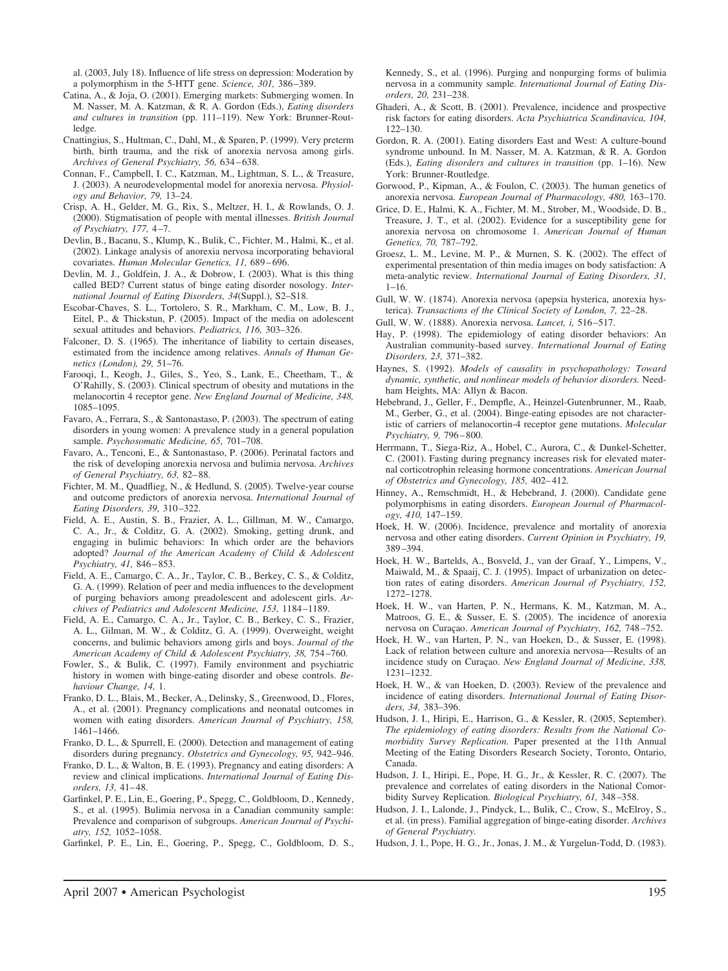al. (2003, July 18). Influence of life stress on depression: Moderation by a polymorphism in the 5-HTT gene. *Science, 301,* 386 –389.

- Catina, A., & Joja, O. (2001). Emerging markets: Submerging women. In M. Nasser, M. A. Katzman, & R. A. Gordon (Eds.), *Eating disorders and cultures in transition* (pp. 111–119). New York: Brunner-Routledge.
- Cnattingius, S., Hultman, C., Dahl, M., & Sparen, P. (1999). Very preterm birth, birth trauma, and the risk of anorexia nervosa among girls. *Archives of General Psychiatry, 56,* 634 – 638.
- Connan, F., Campbell, I. C., Katzman, M., Lightman, S. L., & Treasure, J. (2003). A neurodevelopmental model for anorexia nervosa. *Physiology and Behavior, 79,* 13–24.
- Crisp, A. H., Gelder, M. G., Rix, S., Meltzer, H. I., & Rowlands, O. J. (2000). Stigmatisation of people with mental illnesses. *British Journal of Psychiatry, 177,* 4 –7.
- Devlin, B., Bacanu, S., Klump, K., Bulik, C., Fichter, M., Halmi, K., et al. (2002). Linkage analysis of anorexia nervosa incorporating behavioral covariates. *Human Molecular Genetics, 11,* 689 – 696.
- Devlin, M. J., Goldfein, J. A., & Dobrow, I. (2003). What is this thing called BED? Current status of binge eating disorder nosology. *International Journal of Eating Disorders, 34*(Suppl.), S2–S18.
- Escobar-Chaves, S. L., Tortolero, S. R., Markham, C. M., Low, B. J., Eitel, P., & Thickstun, P. (2005). Impact of the media on adolescent sexual attitudes and behaviors. *Pediatrics, 116,* 303–326.
- Falconer, D. S. (1965). The inheritance of liability to certain diseases, estimated from the incidence among relatives. *Annals of Human Genetics (London), 29,* 51–76.
- Farooqi, I., Keogh, J., Giles, S., Yeo, S., Lank, E., Cheetham, T., & O'Rahilly, S. (2003). Clinical spectrum of obesity and mutations in the melanocortin 4 receptor gene. *New England Journal of Medicine, 348,* 1085–1095.
- Favaro, A., Ferrara, S., & Santonastaso, P. (2003). The spectrum of eating disorders in young women: A prevalence study in a general population sample. *Psychosomatic Medicine, 65,* 701–708.
- Favaro, A., Tenconi, E., & Santonastaso, P. (2006). Perinatal factors and the risk of developing anorexia nervosa and bulimia nervosa. *Archives of General Psychiatry, 63,* 82– 88.
- Fichter, M. M., Quadflieg, N., & Hedlund, S. (2005). Twelve-year course and outcome predictors of anorexia nervosa. *International Journal of Eating Disorders, 39,* 310 –322.
- Field, A. E., Austin, S. B., Frazier, A. L., Gillman, M. W., Camargo, C. A., Jr., & Colditz, G. A. (2002). Smoking, getting drunk, and engaging in bulimic behaviors: In which order are the behaviors adopted? *Journal of the American Academy of Child & Adolescent Psychiatry, 41,* 846 – 853.
- Field, A. E., Camargo, C. A., Jr., Taylor, C. B., Berkey, C. S., & Colditz, G. A. (1999). Relation of peer and media influences to the development of purging behaviors among preadolescent and adolescent girls. *Archives of Pediatrics and Adolescent Medicine, 153,* 1184 –1189.
- Field, A. E., Camargo, C. A., Jr., Taylor, C. B., Berkey, C. S., Frazier, A. L., Gilman, M. W., & Colditz, G. A. (1999). Overweight, weight concerns, and bulimic behaviors among girls and boys. *Journal of the American Academy of Child & Adolescent Psychiatry, 38,* 754 –760.
- Fowler, S., & Bulik, C. (1997). Family environment and psychiatric history in women with binge-eating disorder and obese controls. *Behaviour Change, 14,* 1.
- Franko, D. L., Blais, M., Becker, A., Delinsky, S., Greenwood, D., Flores, A., et al. (2001). Pregnancy complications and neonatal outcomes in women with eating disorders. *American Journal of Psychiatry, 158,* 1461–1466.
- Franko, D. L., & Spurrell, E. (2000). Detection and management of eating disorders during pregnancy. *Obstetrics and Gynecology, 95,* 942–946.
- Franko, D. L., & Walton, B. E. (1993). Pregnancy and eating disorders: A review and clinical implications. *International Journal of Eating Disorders, 13,* 41– 48.
- Garfinkel, P. E., Lin, E., Goering, P., Spegg, C., Goldbloom, D., Kennedy, S., et al. (1995). Bulimia nervosa in a Canadian community sample: Prevalence and comparison of subgroups. *American Journal of Psychiatry, 152,* 1052–1058.
- Garfinkel, P. E., Lin, E., Goering, P., Spegg, C., Goldbloom, D. S.,

Kennedy, S., et al. (1996). Purging and nonpurging forms of bulimia nervosa in a community sample. *International Journal of Eating Disorders, 20,* 231–238.

- Ghaderi, A., & Scott, B. (2001). Prevalence, incidence and prospective risk factors for eating disorders. *Acta Psychiatrica Scandinavica, 104,* 122–130.
- Gordon, R. A. (2001). Eating disorders East and West: A culture-bound syndrome unbound. In M. Nasser, M. A. Katzman, & R. A. Gordon (Eds.), *Eating disorders and cultures in transition* (pp. 1–16). New York: Brunner-Routledge.
- Gorwood, P., Kipman, A., & Foulon, C. (2003). The human genetics of anorexia nervosa. *European Journal of Pharmacology, 480,* 163–170.
- Grice, D. E., Halmi, K. A., Fichter, M. M., Strober, M., Woodside, D. B., Treasure, J. T., et al. (2002). Evidence for a susceptibility gene for anorexia nervosa on chromosome 1. *American Journal of Human Genetics, 70,* 787–792.
- Groesz, L. M., Levine, M. P., & Murnen, S. K. (2002). The effect of experimental presentation of thin media images on body satisfaction: A meta-analytic review. *International Journal of Eating Disorders, 31,* 1–16.
- Gull, W. W. (1874). Anorexia nervosa (apepsia hysterica, anorexia hysterica). *Transactions of the Clinical Society of London, 7,* 22–28.
- Gull, W. W. (1888). Anorexia nervosa. *Lancet, i,* 516 –517.
- Hay, P. (1998). The epidemiology of eating disorder behaviors: An Australian community-based survey. *International Journal of Eating Disorders, 23,* 371–382.
- Haynes, S. (1992). *Models of causality in psychopathology: Toward dynamic, synthetic, and nonlinear models of behavior disorders.* Needham Heights, MA: Allyn & Bacon.
- Hebebrand, J., Geller, F., Dempfle, A., Heinzel-Gutenbrunner, M., Raab, M., Gerber, G., et al. (2004). Binge-eating episodes are not characteristic of carriers of melanocortin-4 receptor gene mutations. *Molecular Psychiatry, 9,* 796 – 800.
- Herrmann, T., Siega-Riz, A., Hobel, C., Aurora, C., & Dunkel-Schetter, C. (2001). Fasting during pregnancy increases risk for elevated maternal corticotrophin releasing hormone concentrations. *American Journal of Obstetrics and Gynecology, 185,* 402– 412.
- Hinney, A., Remschmidt, H., & Hebebrand, J. (2000). Candidate gene polymorphisms in eating disorders. *European Journal of Pharmacology, 410,* 147–159.
- Hoek, H. W. (2006). Incidence, prevalence and mortality of anorexia nervosa and other eating disorders. *Current Opinion in Psychiatry, 19,* 389 –394.
- Hoek, H. W., Bartelds, A., Bosveld, J., van der Graaf, Y., Limpens, V., Maiwald, M., & Spaaij, C. J. (1995). Impact of urbanization on detection rates of eating disorders. *American Journal of Psychiatry, 152,* 1272–1278.
- Hoek, H. W., van Harten, P. N., Hermans, K. M., Katzman, M. A., Matroos, G. E., & Susser, E. S. (2005). The incidence of anorexia nervosa on Curaçao. *American Journal of Psychiatry, 162, 748-752*.
- Hoek, H. W., van Harten, P. N., van Hoeken, D., & Susser, E. (1998). Lack of relation between culture and anorexia nervosa—Results of an incidence study on Curaçao. New England Journal of Medicine, 338, 1231–1232.
- Hoek, H. W., & van Hoeken, D. (2003). Review of the prevalence and incidence of eating disorders. *International Journal of Eating Disorders, 34,* 383–396.
- Hudson, J. I., Hiripi, E., Harrison, G., & Kessler, R. (2005, September). *The epidemiology of eating disorders: Results from the National Comorbidity Survey Replication.* Paper presented at the 11th Annual Meeting of the Eating Disorders Research Society, Toronto, Ontario, Canada.
- Hudson, J. I., Hiripi, E., Pope, H. G., Jr., & Kessler, R. C. (2007). The prevalence and correlates of eating disorders in the National Comorbidity Survey Replication. *Biological Psychiatry, 61,* 348 –358.
- Hudson, J. I., Lalonde, J., Pindyck, L., Bulik, C., Crow, S., McElroy, S., et al. (in press). Familial aggregation of binge-eating disorder. *Archives of General Psychiatry.*
- Hudson, J. I., Pope, H. G., Jr., Jonas, J. M., & Yurgelun-Todd, D. (1983).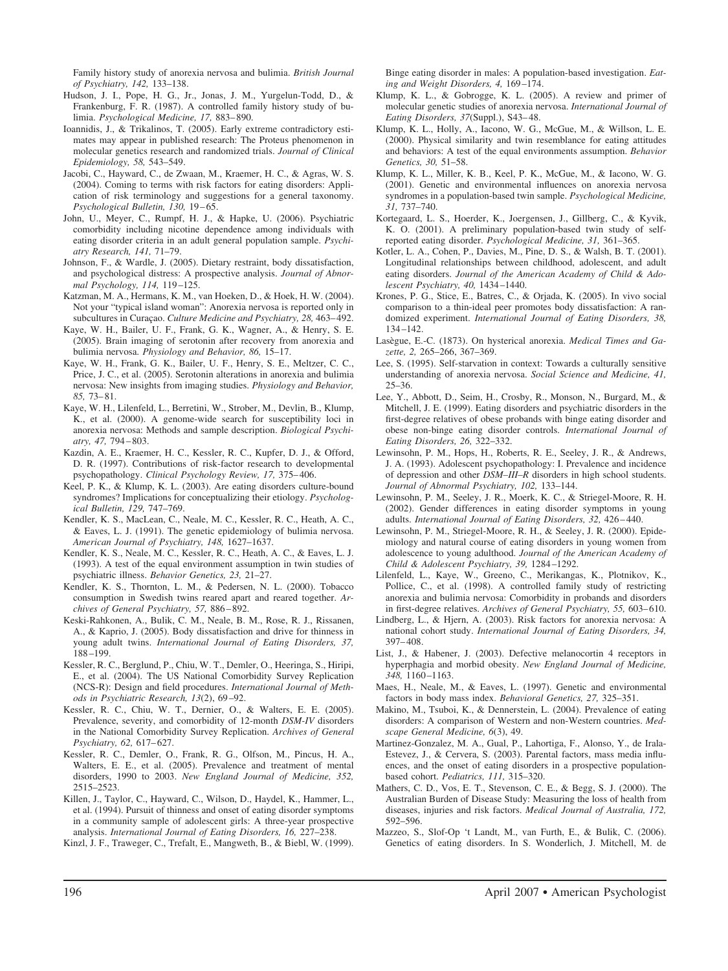Family history study of anorexia nervosa and bulimia. *British Journal of Psychiatry, 142,* 133–138.

- Hudson, J. I., Pope, H. G., Jr., Jonas, J. M., Yurgelun-Todd, D., & Frankenburg, F. R. (1987). A controlled family history study of bulimia. *Psychological Medicine, 17,* 883– 890.
- Ioannidis, J., & Trikalinos, T. (2005). Early extreme contradictory estimates may appear in published research: The Proteus phenomenon in molecular genetics research and randomized trials. *Journal of Clinical Epidemiology, 58,* 543–549.
- Jacobi, C., Hayward, C., de Zwaan, M., Kraemer, H. C., & Agras, W. S. (2004). Coming to terms with risk factors for eating disorders: Application of risk terminology and suggestions for a general taxonomy. *Psychological Bulletin, 130,* 19 – 65.
- John, U., Meyer, C., Rumpf, H. J., & Hapke, U. (2006). Psychiatric comorbidity including nicotine dependence among individuals with eating disorder criteria in an adult general population sample. *Psychiatry Research, 141,* 71–79.
- Johnson, F., & Wardle, J. (2005). Dietary restraint, body dissatisfaction, and psychological distress: A prospective analysis. *Journal of Abnormal Psychology, 114,* 119 –125.
- Katzman, M. A., Hermans, K. M., van Hoeken, D., & Hoek, H. W. (2004). Not your "typical island woman": Anorexia nervosa is reported only in subcultures in Curaçao. *Culture Medicine and Psychiatry*, 28, 463-492.
- Kaye, W. H., Bailer, U. F., Frank, G. K., Wagner, A., & Henry, S. E. (2005). Brain imaging of serotonin after recovery from anorexia and bulimia nervosa. *Physiology and Behavior, 86,* 15–17.
- Kaye, W. H., Frank, G. K., Bailer, U. F., Henry, S. E., Meltzer, C. C., Price, J. C., et al. (2005). Serotonin alterations in anorexia and bulimia nervosa: New insights from imaging studies. *Physiology and Behavior, 85,* 73– 81.
- Kaye, W. H., Lilenfeld, L., Berretini, W., Strober, M., Devlin, B., Klump, K., et al. (2000). A genome-wide search for susceptibility loci in anorexia nervosa: Methods and sample description. *Biological Psychiatry, 47,* 794 – 803.
- Kazdin, A. E., Kraemer, H. C., Kessler, R. C., Kupfer, D. J., & Offord, D. R. (1997). Contributions of risk-factor research to developmental psychopathology. *Clinical Psychology Review, 17,* 375– 406.
- Keel, P. K., & Klump, K. L. (2003). Are eating disorders culture-bound syndromes? Implications for conceptualizing their etiology. *Psychological Bulletin, 129,* 747–769.
- Kendler, K. S., MacLean, C., Neale, M. C., Kessler, R. C., Heath, A. C., & Eaves, L. J. (1991). The genetic epidemiology of bulimia nervosa. *American Journal of Psychiatry, 148,* 1627–1637.
- Kendler, K. S., Neale, M. C., Kessler, R. C., Heath, A. C., & Eaves, L. J. (1993). A test of the equal environment assumption in twin studies of psychiatric illness. *Behavior Genetics, 23,* 21–27.
- Kendler, K. S., Thornton, L. M., & Pedersen, N. L. (2000). Tobacco consumption in Swedish twins reared apart and reared together. *Archives of General Psychiatry, 57,* 886 – 892.
- Keski-Rahkonen, A., Bulik, C. M., Neale, B. M., Rose, R. J., Rissanen, A., & Kaprio, J. (2005). Body dissatisfaction and drive for thinness in young adult twins. *International Journal of Eating Disorders, 37,* 188 –199.
- Kessler, R. C., Berglund, P., Chiu, W. T., Demler, O., Heeringa, S., Hiripi, E., et al. (2004). The US National Comorbidity Survey Replication (NCS-R): Design and field procedures. *International Journal of Methods in Psychiatric Research, 13*(2), 69 –92.
- Kessler, R. C., Chiu, W. T., Dernier, O., & Walters, E. E. (2005). Prevalence, severity, and comorbidity of 12-month *DSM-IV* disorders in the National Comorbidity Survey Replication. *Archives of General Psychiatry, 62,* 617– 627.
- Kessler, R. C., Demler, O., Frank, R. G., Olfson, M., Pincus, H. A., Walters, E. E., et al. (2005). Prevalence and treatment of mental disorders, 1990 to 2003. *New England Journal of Medicine, 352,* 2515–2523.
- Killen, J., Taylor, C., Hayward, C., Wilson, D., Haydel, K., Hammer, L., et al. (1994). Pursuit of thinness and onset of eating disorder symptoms in a community sample of adolescent girls: A three-year prospective analysis. *International Journal of Eating Disorders, 16,* 227–238.
- Kinzl, J. F., Traweger, C., Trefalt, E., Mangweth, B., & Biebl, W. (1999).

Binge eating disorder in males: A population-based investigation. *Eating and Weight Disorders, 4,* 169 –174.

- Klump, K. L., & Gobrogge, K. L. (2005). A review and primer of molecular genetic studies of anorexia nervosa. *International Journal of Eating Disorders, 37*(Suppl.), S43– 48.
- Klump, K. L., Holly, A., Iacono, W. G., McGue, M., & Willson, L. E. (2000). Physical similarity and twin resemblance for eating attitudes and behaviors: A test of the equal environments assumption. *Behavior Genetics, 30,* 51–58.
- Klump, K. L., Miller, K. B., Keel, P. K., McGue, M., & Iacono, W. G. (2001). Genetic and environmental influences on anorexia nervosa syndromes in a population-based twin sample. *Psychological Medicine, 31,* 737–740.
- Kortegaard, L. S., Hoerder, K., Joergensen, J., Gillberg, C., & Kyvik, K. O. (2001). A preliminary population-based twin study of selfreported eating disorder. *Psychological Medicine, 31,* 361–365.
- Kotler, L. A., Cohen, P., Davies, M., Pine, D. S., & Walsh, B. T. (2001). Longitudinal relationships between childhood, adolescent, and adult eating disorders. *Journal of the American Academy of Child & Adolescent Psychiatry, 40,* 1434 –1440.
- Krones, P. G., Stice, E., Batres, C., & Orjada, K. (2005). In vivo social comparison to a thin-ideal peer promotes body dissatisfaction: A randomized experiment. *International Journal of Eating Disorders, 38,* 134 –142.
- Lasègue, E.-C. (1873). On hysterical anorexia. *Medical Times and Gazette, 2,* 265–266, 367–369.
- Lee, S. (1995). Self-starvation in context: Towards a culturally sensitive understanding of anorexia nervosa. *Social Science and Medicine, 41,* 25–36.
- Lee, Y., Abbott, D., Seim, H., Crosby, R., Monson, N., Burgard, M., & Mitchell, J. E. (1999). Eating disorders and psychiatric disorders in the first-degree relatives of obese probands with binge eating disorder and obese non-binge eating disorder controls. *International Journal of Eating Disorders, 26,* 322–332.
- Lewinsohn, P. M., Hops, H., Roberts, R. E., Seeley, J. R., & Andrews, J. A. (1993). Adolescent psychopathology: I. Prevalence and incidence of depression and other *DSM–III–R* disorders in high school students. *Journal of Abnormal Psychiatry, 102,* 133–144.
- Lewinsohn, P. M., Seeley, J. R., Moerk, K. C., & Striegel-Moore, R. H. (2002). Gender differences in eating disorder symptoms in young adults. *International Journal of Eating Disorders, 32,* 426 – 440.
- Lewinsohn, P. M., Striegel-Moore, R. H., & Seeley, J. R. (2000). Epidemiology and natural course of eating disorders in young women from adolescence to young adulthood. *Journal of the American Academy of Child & Adolescent Psychiatry, 39,* 1284 –1292.
- Lilenfeld, L., Kaye, W., Greeno, C., Merikangas, K., Plotnikov, K., Pollice, C., et al. (1998). A controlled family study of restricting anorexia and bulimia nervosa: Comorbidity in probands and disorders in first-degree relatives. *Archives of General Psychiatry*, 55, 603-610.
- Lindberg, L., & Hjern, A. (2003). Risk factors for anorexia nervosa: A national cohort study. *International Journal of Eating Disorders, 34,* 397– 408.
- List, J., & Habener, J. (2003). Defective melanocortin 4 receptors in hyperphagia and morbid obesity. *New England Journal of Medicine, 348,* 1160 –1163.
- Maes, H., Neale, M., & Eaves, L. (1997). Genetic and environmental factors in body mass index. *Behavioral Genetics, 27,* 325–351.
- Makino, M., Tsuboi, K., & Dennerstein, L. (2004). Prevalence of eating disorders: A comparison of Western and non-Western countries. *Medscape General Medicine, 6*(3), 49.
- Martinez-Gonzalez, M. A., Gual, P., Lahortiga, F., Alonso, Y., de Irala-Estevez, J., & Cervera, S. (2003). Parental factors, mass media influences, and the onset of eating disorders in a prospective populationbased cohort. *Pediatrics, 111,* 315–320.
- Mathers, C. D., Vos, E. T., Stevenson, C. E., & Begg, S. J. (2000). The Australian Burden of Disease Study: Measuring the loss of health from diseases, injuries and risk factors. *Medical Journal of Australia, 172,* 592–596.
- Mazzeo, S., Slof-Op 't Landt, M., van Furth, E., & Bulik, C. (2006). Genetics of eating disorders. In S. Wonderlich, J. Mitchell, M. de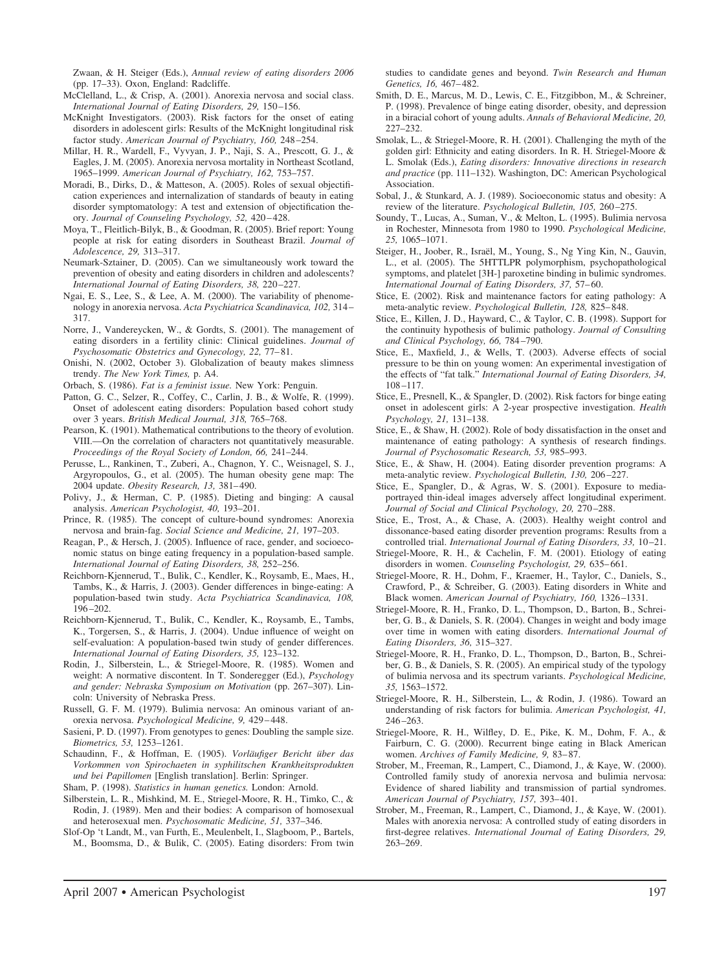Zwaan, & H. Steiger (Eds.), *Annual review of eating disorders 2006* (pp. 17–33). Oxon, England: Radcliffe.

- McClelland, L., & Crisp, A. (2001). Anorexia nervosa and social class. *International Journal of Eating Disorders, 29,* 150 –156.
- McKnight Investigators. (2003). Risk factors for the onset of eating disorders in adolescent girls: Results of the McKnight longitudinal risk factor study. *American Journal of Psychiatry, 160,* 248 –254.
- Millar, H. R., Wardell, F., Vyvyan, J. P., Naji, S. A., Prescott, G. J., & Eagles, J. M. (2005). Anorexia nervosa mortality in Northeast Scotland, 1965–1999. *American Journal of Psychiatry, 162,* 753–757.
- Moradi, B., Dirks, D., & Matteson, A. (2005). Roles of sexual objectification experiences and internalization of standards of beauty in eating disorder symptomatology: A test and extension of objectification theory. *Journal of Counseling Psychology, 52,* 420 – 428.
- Moya, T., Fleitlich-Bilyk, B., & Goodman, R. (2005). Brief report: Young people at risk for eating disorders in Southeast Brazil. *Journal of Adolescence, 29,* 313–317.
- Neumark-Sztainer, D. (2005). Can we simultaneously work toward the prevention of obesity and eating disorders in children and adolescents? *International Journal of Eating Disorders, 38,* 220 –227.
- Ngai, E. S., Lee, S., & Lee, A. M. (2000). The variability of phenomenology in anorexia nervosa. *Acta Psychiatrica Scandinavica, 102,* 314 – 317.
- Norre, J., Vandereycken, W., & Gordts, S. (2001). The management of eating disorders in a fertility clinic: Clinical guidelines. *Journal of Psychosomatic Obstetrics and Gynecology, 22,* 77– 81.
- Onishi, N. (2002, October 3). Globalization of beauty makes slimness trendy. *The New York Times,* p. A4.
- Orbach, S. (1986). *Fat is a feminist issue.* New York: Penguin.
- Patton, G. C., Selzer, R., Coffey, C., Carlin, J. B., & Wolfe, R. (1999). Onset of adolescent eating disorders: Population based cohort study over 3 years. *British Medical Journal, 318,* 765–768.
- Pearson, K. (1901). Mathematical contributions to the theory of evolution. VIII.—On the correlation of characters not quantitatively measurable. *Proceedings of the Royal Society of London, 66,* 241–244.
- Perusse, L., Rankinen, T., Zuberi, A., Chagnon, Y. C., Weisnagel, S. J., Argyropoulos, G., et al. (2005). The human obesity gene map: The 2004 update. *Obesity Research, 13,* 381– 490.
- Polivy, J., & Herman, C. P. (1985). Dieting and binging: A causal analysis. *American Psychologist, 40,* 193–201.
- Prince, R. (1985). The concept of culture-bound syndromes: Anorexia nervosa and brain-fag. *Social Science and Medicine, 21,* 197–203.
- Reagan, P., & Hersch, J. (2005). Influence of race, gender, and socioeconomic status on binge eating frequency in a population-based sample. *International Journal of Eating Disorders, 38,* 252–256.
- Reichborn-Kjennerud, T., Bulik, C., Kendler, K., Roysamb, E., Maes, H., Tambs, K., & Harris, J. (2003). Gender differences in binge-eating: A population-based twin study. *Acta Psychiatrica Scandinavica, 108,* 196 –202.
- Reichborn-Kjennerud, T., Bulik, C., Kendler, K., Roysamb, E., Tambs, K., Torgersen, S., & Harris, J. (2004). Undue influence of weight on self-evaluation: A population-based twin study of gender differences. *International Journal of Eating Disorders, 35,* 123–132.
- Rodin, J., Silberstein, L., & Striegel-Moore, R. (1985). Women and weight: A normative discontent. In T. Sonderegger (Ed.), *Psychology and gender: Nebraska Symposium on Motivation* (pp. 267–307). Lincoln: University of Nebraska Press.
- Russell, G. F. M. (1979). Bulimia nervosa: An ominous variant of anorexia nervosa. *Psychological Medicine, 9,* 429 – 448.
- Sasieni, P. D. (1997). From genotypes to genes: Doubling the sample size. *Biometrics, 53,* 1253–1261.
- Schaudinn, F., & Hoffman, E. (1905). *Vorläufiger Bericht über das Vorkommen von Spirochaeten in syphilitschen Krankheitsprodukten und bei Papillomen* [English translation]. Berlin: Springer.
- Sham, P. (1998). *Statistics in human genetics.* London: Arnold.
- Silberstein, L. R., Mishkind, M. E., Striegel-Moore, R. H., Timko, C., & Rodin, J. (1989). Men and their bodies: A comparison of homosexual and heterosexual men. *Psychosomatic Medicine, 51,* 337–346.
- Slof-Op 't Landt, M., van Furth, E., Meulenbelt, I., Slagboom, P., Bartels, M., Boomsma, D., & Bulik, C. (2005). Eating disorders: From twin

studies to candidate genes and beyond. *Twin Research and Human Genetics, 16,* 467– 482.

- Smith, D. E., Marcus, M. D., Lewis, C. E., Fitzgibbon, M., & Schreiner, P. (1998). Prevalence of binge eating disorder, obesity, and depression in a biracial cohort of young adults. *Annals of Behavioral Medicine, 20,* 227–232.
- Smolak, L., & Striegel-Moore, R. H. (2001). Challenging the myth of the golden girl: Ethnicity and eating disorders. In R. H. Striegel-Moore & L. Smolak (Eds.), *Eating disorders: Innovative directions in research and practice* (pp. 111–132). Washington, DC: American Psychological Association.
- Sobal, J., & Stunkard, A. J. (1989). Socioeconomic status and obesity: A review of the literature. *Psychological Bulletin, 105,* 260 –275.
- Soundy, T., Lucas, A., Suman, V., & Melton, L. (1995). Bulimia nervosa in Rochester, Minnesota from 1980 to 1990. *Psychological Medicine, 25,* 1065–1071.
- Steiger, H., Joober, R., Israël, M., Young, S., Ng Ying Kin, N., Gauvin, L., et al. (2005). The 5HTTLPR polymorphism, psychopathological symptoms, and platelet [3H-] paroxetine binding in bulimic syndromes. *International Journal of Eating Disorders, 37,* 57– 60.
- Stice, E. (2002). Risk and maintenance factors for eating pathology: A meta-analytic review. *Psychological Bulletin, 128,* 825– 848.
- Stice, E., Killen, J. D., Hayward, C., & Taylor, C. B. (1998). Support for the continuity hypothesis of bulimic pathology. *Journal of Consulting and Clinical Psychology, 66,* 784 –790.
- Stice, E., Maxfield, J., & Wells, T. (2003). Adverse effects of social pressure to be thin on young women: An experimental investigation of the effects of "fat talk." *International Journal of Eating Disorders, 34,* 108 –117.
- Stice, E., Presnell, K., & Spangler, D. (2002). Risk factors for binge eating onset in adolescent girls: A 2-year prospective investigation. *Health Psychology, 21,* 131–138.
- Stice, E., & Shaw, H. (2002). Role of body dissatisfaction in the onset and maintenance of eating pathology: A synthesis of research findings. *Journal of Psychosomatic Research, 53,* 985–993.
- Stice, E., & Shaw, H. (2004). Eating disorder prevention programs: A meta-analytic review. *Psychological Bulletin, 130,* 206 –227.
- Stice, E., Spangler, D., & Agras, W. S. (2001). Exposure to mediaportrayed thin-ideal images adversely affect longitudinal experiment. *Journal of Social and Clinical Psychology, 20,* 270 –288.
- Stice, E., Trost, A., & Chase, A. (2003). Healthy weight control and dissonance-based eating disorder prevention programs: Results from a controlled trial. *International Journal of Eating Disorders, 33,* 10 –21.
- Striegel-Moore, R. H., & Cachelin, F. M. (2001). Etiology of eating disorders in women. *Counseling Psychologist, 29,* 635– 661.
- Striegel-Moore, R. H., Dohm, F., Kraemer, H., Taylor, C., Daniels, S., Crawford, P., & Schreiber, G. (2003). Eating disorders in White and Black women. *American Journal of Psychiatry, 160,* 1326 –1331.
- Striegel-Moore, R. H., Franko, D. L., Thompson, D., Barton, B., Schreiber, G. B., & Daniels, S. R. (2004). Changes in weight and body image over time in women with eating disorders. *International Journal of Eating Disorders, 36,* 315–327.
- Striegel-Moore, R. H., Franko, D. L., Thompson, D., Barton, B., Schreiber, G. B., & Daniels, S. R. (2005). An empirical study of the typology of bulimia nervosa and its spectrum variants. *Psychological Medicine, 35,* 1563–1572.
- Striegel-Moore, R. H., Silberstein, L., & Rodin, J. (1986). Toward an understanding of risk factors for bulimia. *American Psychologist, 41,*  $246 - 263$ .
- Striegel-Moore, R. H., Wilfley, D. E., Pike, K. M., Dohm, F. A., & Fairburn, C. G. (2000). Recurrent binge eating in Black American women. *Archives of Family Medicine*, 9, 83-87.
- Strober, M., Freeman, R., Lampert, C., Diamond, J., & Kaye, W. (2000). Controlled family study of anorexia nervosa and bulimia nervosa: Evidence of shared liability and transmission of partial syndromes. *American Journal of Psychiatry, 157,* 393– 401.
- Strober, M., Freeman, R., Lampert, C., Diamond, J., & Kaye, W. (2001). Males with anorexia nervosa: A controlled study of eating disorders in first-degree relatives. *International Journal of Eating Disorders, 29,* 263–269.